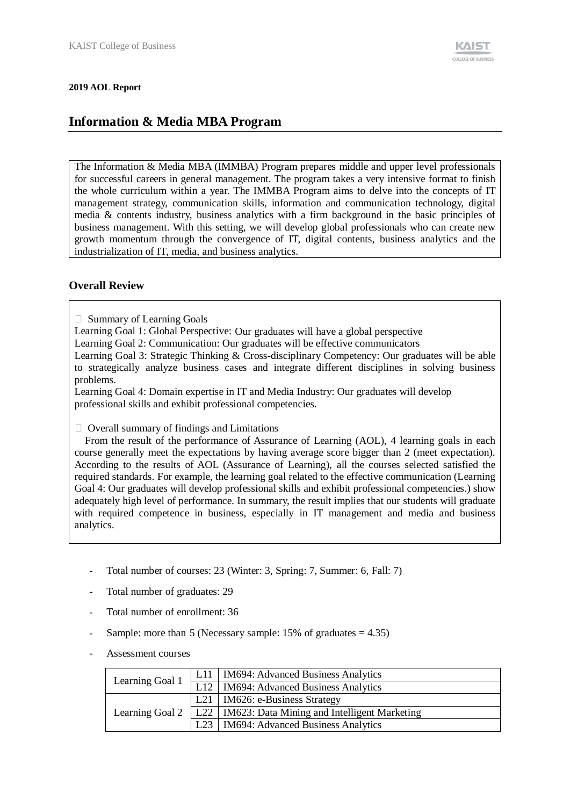The Information & Media MBA (IMMBA) Program prepares middle and upper level professionals for successful careers in general management. The program takes a very intensive format to finish the whole curriculum within a year. The IMMBA Program aims to delve into the concepts of IT management strategy, communication skills, information and communication technology, digital media & contents industry, business analytics with a firm background in the basic principles of business management. With this setting, we will develop global professionals who can create new growth momentum through the convergence of IT, digital contents, business analytics and the industrialization of IT, media, and business analytics.

### **Overall Review**

 $\Box$  Summary of Learning Goals

- Learning Goal 1: Global Perspective: Our graduates will have a global perspective
- Learning Goal 2: Communication: Our graduates will be effective communicators

Learning Goal 3: Strategic Thinking & Cross-disciplinary Competency: Our graduates will be able to strategically analyze business cases and integrate different disciplines in solving business problems.

Learning Goal 4: Domain expertise in IT and Media Industry: Our graduates will develop professional skills and exhibit professional competencies.

 $\Box$  Overall summary of findings and Limitations

From the result of the performance of Assurance of Learning (AOL), 4 learning goals in each course generally meet the expectations by having average score bigger than 2 (meet expectation). According to the results of AOL (Assurance of Learning), all the courses selected satisfied the required standards. For example, the learning goal related to the effective communication (Learning Goal 4: Our graduates will develop professional skills and exhibit professional competencies.) show adequately high level of performance. In summary, the result implies that our students will graduate with required competence in business, especially in IT management and media and business analytics.

- Total number of courses: 23 (Winter: 3, Spring: 7, Summer: 6, Fall: 7)
- Total number of graduates: 29
- Total number of enrollment: 36
- Sample: more than 5 (Necessary sample:  $15\%$  of graduates = 4.35)
- Assessment courses

| Learning Goal 1 | L11   IM694: Advanced Business Analytics                  |  |  |
|-----------------|-----------------------------------------------------------|--|--|
|                 | L12   IM694: Advanced Business Analytics                  |  |  |
|                 | L <sub>21</sub>   IM <sub>626</sub> : e-Business Strategy |  |  |
| Learning Goal 2 | L22   IM623: Data Mining and Intelligent Marketing        |  |  |
|                 | L23   IM694: Advanced Business Analytics                  |  |  |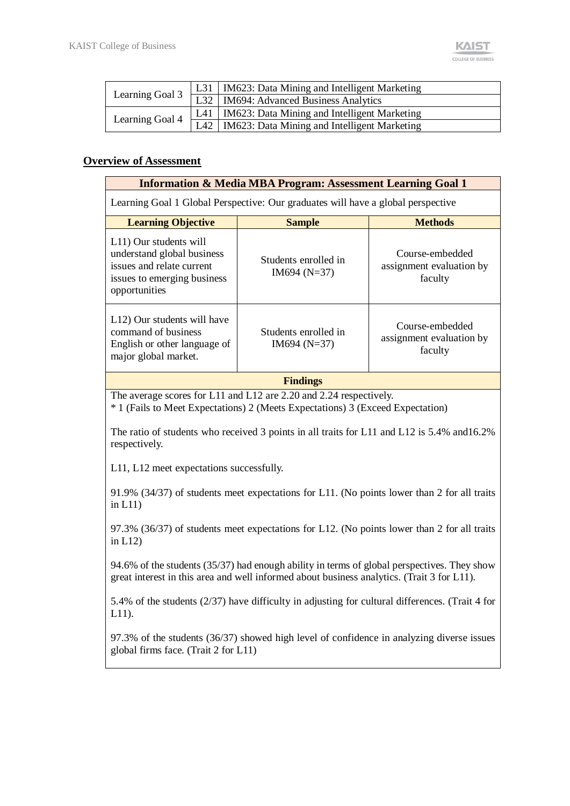|                 | L31   IM623: Data Mining and Intelligent Marketing              |
|-----------------|-----------------------------------------------------------------|
| Learning Goal 3 | L32 M694: Advanced Business Analytics                           |
|                 | L41   IM623: Data Mining and Intelligent Marketing              |
| Learning Goal 4 | $ \overline{L42} $ IM623: Data Mining and Intelligent Marketing |

#### <sup>U</sup>**Overview of Assessment**

| <b>Information &amp; Media MBA Program: Assessment Learning Goal 1</b>                                                            |                                        |                                                        |  |  |  |  |
|-----------------------------------------------------------------------------------------------------------------------------------|----------------------------------------|--------------------------------------------------------|--|--|--|--|
| Learning Goal 1 Global Perspective: Our graduates will have a global perspective                                                  |                                        |                                                        |  |  |  |  |
| <b>Learning Objective</b>                                                                                                         | <b>Sample</b>                          | <b>Methods</b>                                         |  |  |  |  |
| L11) Our students will<br>understand global business<br>issues and relate current<br>issues to emerging business<br>opportunities | Students enrolled in<br>$IM694 (N=37)$ | Course-embedded<br>assignment evaluation by<br>faculty |  |  |  |  |
| L12) Our students will have<br>command of business<br>English or other language of<br>major global market.                        | Students enrolled in<br>$IM694 (N=37)$ | Course-embedded<br>assignment evaluation by<br>faculty |  |  |  |  |
|                                                                                                                                   | <b>Findings</b>                        |                                                        |  |  |  |  |

The average scores for L11 and L12 are 2.20 and 2.24 respectively.

\* 1 (Fails to Meet Expectations) 2 (Meets Expectations) 3 (Exceed Expectation)

The ratio of students who received 3 points in all traits for L11 and L12 is 5.4% and16.2% respectively.

L11, L12 meet expectations successfully.

91.9% (34/37) of students meet expectations for L11. (No points lower than 2 for all traits in  $L11$ )

97.3% (36/37) of students meet expectations for L12. (No points lower than 2 for all traits in L12)

94.6% of the students (35/37) had enough ability in terms of global perspectives. They show great interest in this area and well informed about business analytics. (Trait 3 for L11).

5.4% of the students (2/37) have difficulty in adjusting for cultural differences. (Trait 4 for L11).

97.3% of the students (36/37) showed high level of confidence in analyzing diverse issues global firms face. (Trait 2 for L11)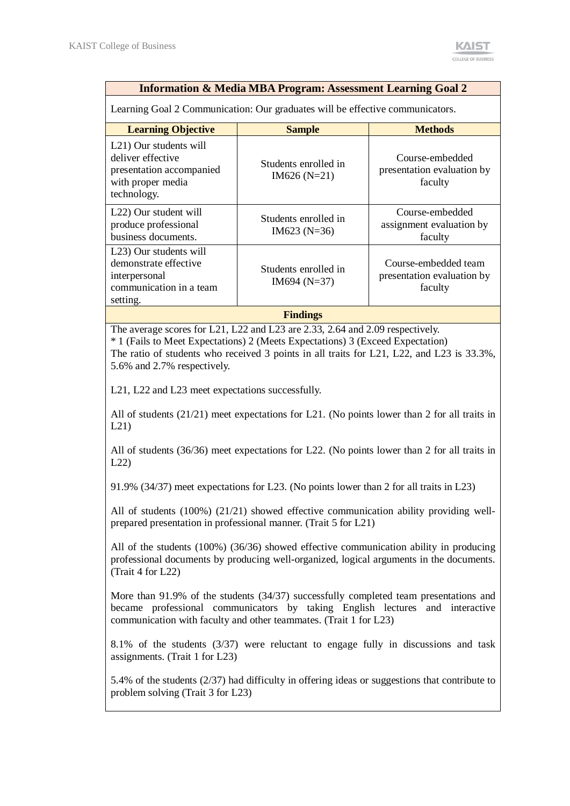| <b>Information &amp; Media MBA Program: Assessment Learning Goal 2</b>                                                                                                                                                                                                                                                                                                                                                                                       |                                                                                                                                                            |                                                               |  |  |  |  |
|--------------------------------------------------------------------------------------------------------------------------------------------------------------------------------------------------------------------------------------------------------------------------------------------------------------------------------------------------------------------------------------------------------------------------------------------------------------|------------------------------------------------------------------------------------------------------------------------------------------------------------|---------------------------------------------------------------|--|--|--|--|
| Learning Goal 2 Communication: Our graduates will be effective communicators.                                                                                                                                                                                                                                                                                                                                                                                |                                                                                                                                                            |                                                               |  |  |  |  |
| <b>Learning Objective</b>                                                                                                                                                                                                                                                                                                                                                                                                                                    | <b>Sample</b>                                                                                                                                              | <b>Methods</b>                                                |  |  |  |  |
| L21) Our students will<br>deliver effective<br>presentation accompanied<br>with proper media<br>technology.                                                                                                                                                                                                                                                                                                                                                  | Students enrolled in<br>$IM626(N=21)$                                                                                                                      | Course-embedded<br>presentation evaluation by<br>faculty      |  |  |  |  |
| L22) Our student will<br>produce professional<br>business documents.                                                                                                                                                                                                                                                                                                                                                                                         | Students enrolled in<br>$IM623 (N=36)$                                                                                                                     | Course-embedded<br>assignment evaluation by<br>faculty        |  |  |  |  |
| L23) Our students will<br>demonstrate effective<br>interpersonal<br>communication in a team<br>setting.                                                                                                                                                                                                                                                                                                                                                      | Students enrolled in<br>IM694 ( $N=37$ )                                                                                                                   | Course-embedded team<br>presentation evaluation by<br>faculty |  |  |  |  |
|                                                                                                                                                                                                                                                                                                                                                                                                                                                              | <b>Findings</b>                                                                                                                                            |                                                               |  |  |  |  |
| The average scores for L21, L22 and L23 are 2.33, 2.64 and 2.09 respectively.<br>* 1 (Fails to Meet Expectations) 2 (Meets Expectations) 3 (Exceed Expectation)<br>The ratio of students who received 3 points in all traits for L21, L22, and L23 is $33.3\%$ ,<br>5.6% and 2.7% respectively.<br>L21, L22 and L23 meet expectations successfully.<br>All of students $(21/21)$ meet expectations for L21. (No points lower than 2 for all traits in<br>L21 |                                                                                                                                                            |                                                               |  |  |  |  |
| All of students $(36/36)$ meet expectations for L22. (No points lower than 2 for all traits in<br>L22<br>91.9% (34/37) meet expectations for L23. (No points lower than 2 for all traits in L23)                                                                                                                                                                                                                                                             |                                                                                                                                                            |                                                               |  |  |  |  |
|                                                                                                                                                                                                                                                                                                                                                                                                                                                              |                                                                                                                                                            |                                                               |  |  |  |  |
|                                                                                                                                                                                                                                                                                                                                                                                                                                                              | All of students $(100%) (21/21)$ showed effective communication ability providing well-<br>prepared presentation in professional manner. (Trait 5 for L21) |                                                               |  |  |  |  |
| All of the students (100%) (36/36) showed effective communication ability in producing<br>professional documents by producing well-organized, logical arguments in the documents.<br>(Trait 4 for L22)                                                                                                                                                                                                                                                       |                                                                                                                                                            |                                                               |  |  |  |  |
| More than $91.9\%$ of the students $(34/37)$ successfully completed team presentations and<br>became professional communicators by taking English lectures and interactive<br>communication with faculty and other teammates. (Trait 1 for L23)                                                                                                                                                                                                              |                                                                                                                                                            |                                                               |  |  |  |  |
| assignments. (Trait 1 for L23)                                                                                                                                                                                                                                                                                                                                                                                                                               | 8.1% of the students (3/37) were reluctant to engage fully in discussions and task                                                                         |                                                               |  |  |  |  |
| problem solving (Trait 3 for L23)                                                                                                                                                                                                                                                                                                                                                                                                                            | 5.4% of the students (2/37) had difficulty in offering ideas or suggestions that contribute to                                                             |                                                               |  |  |  |  |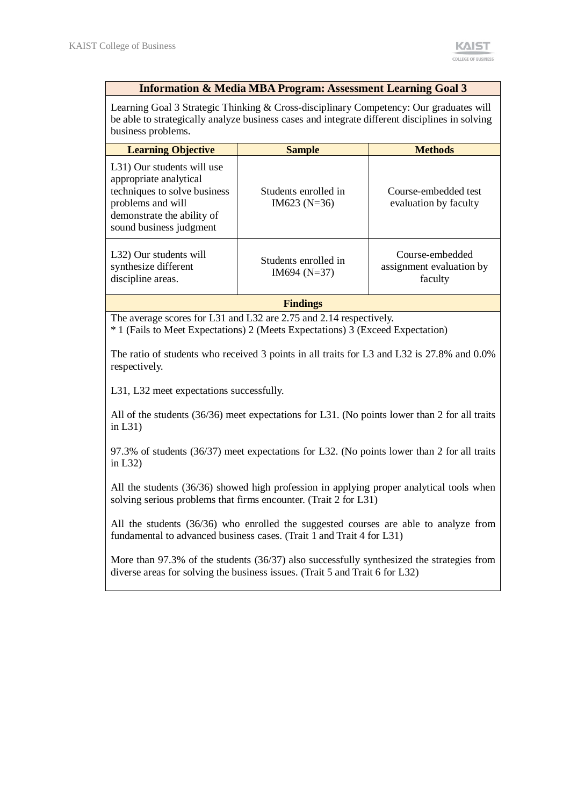#### **Information & Media MBA Program: Assessment Learning Goal 3**

Learning Goal 3 Strategic Thinking & Cross-disciplinary Competency: Our graduates will be able to strategically analyze business cases and integrate different disciplines in solving business problems.

| <b>Learning Objective</b>                                                                                                                                          | <b>Sample</b>                          | <b>Methods</b>                                         |
|--------------------------------------------------------------------------------------------------------------------------------------------------------------------|----------------------------------------|--------------------------------------------------------|
| L31) Our students will use<br>appropriate analytical<br>techniques to solve business<br>problems and will<br>demonstrate the ability of<br>sound business judgment | Students enrolled in<br>$IM623 (N=36)$ | Course-embedded test<br>evaluation by faculty          |
| L32) Our students will<br>synthesize different<br>discipline areas.                                                                                                | Students enrolled in<br>$IM694 (N=37)$ | Course-embedded<br>assignment evaluation by<br>faculty |

**Findings**

The average scores for L31 and L32 are 2.75 and 2.14 respectively.

\* 1 (Fails to Meet Expectations) 2 (Meets Expectations) 3 (Exceed Expectation)

The ratio of students who received 3 points in all traits for L3 and L32 is 27.8% and 0.0% respectively.

L31, L32 meet expectations successfully.

All of the students (36/36) meet expectations for L31. (No points lower than 2 for all traits in L31)

97.3% of students (36/37) meet expectations for L32. (No points lower than 2 for all traits in L32)

All the students (36/36) showed high profession in applying proper analytical tools when solving serious problems that firms encounter. (Trait 2 for L31)

All the students (36/36) who enrolled the suggested courses are able to analyze from fundamental to advanced business cases. (Trait 1 and Trait 4 for L31)

More than 97.3% of the students (36/37) also successfully synthesized the strategies from diverse areas for solving the business issues. (Trait 5 and Trait 6 for L32)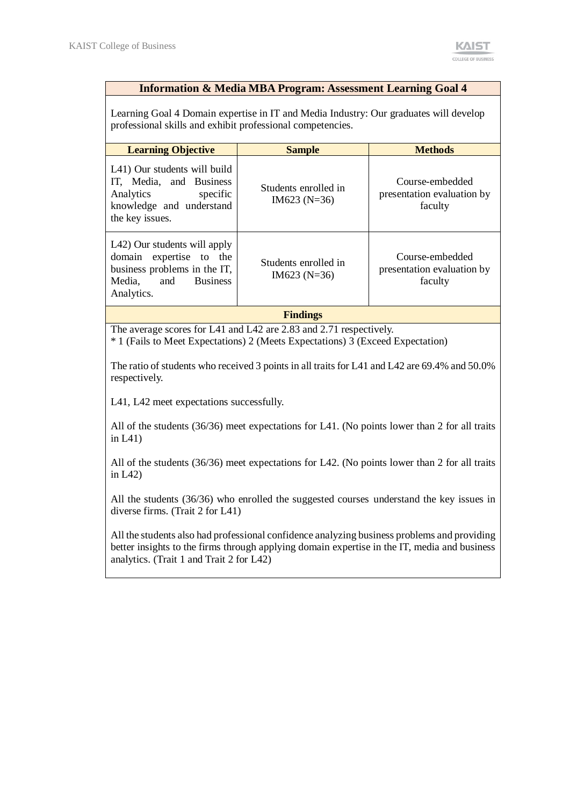#### **Information & Media MBA Program: Assessment Learning Goal 4**

Learning Goal 4 Domain expertise in IT and Media Industry: Our graduates will develop professional skills and exhibit professional competencies.

| <b>Learning Objective</b>                                                                                                                 | <b>Sample</b>                          | <b>Methods</b>                                           |  |  |  |
|-------------------------------------------------------------------------------------------------------------------------------------------|----------------------------------------|----------------------------------------------------------|--|--|--|
| L41) Our students will build<br>IT, Media, and Business<br>Analytics<br>specific<br>knowledge and understand<br>the key issues.           | Students enrolled in<br>$IM623 (N=36)$ | Course-embedded<br>presentation evaluation by<br>faculty |  |  |  |
| L42) Our students will apply<br>domain expertise to the<br>business problems in the IT,<br><b>Business</b><br>Media.<br>and<br>Analytics. | Students enrolled in<br>$IM623 (N=36)$ | Course-embedded<br>presentation evaluation by<br>faculty |  |  |  |
|                                                                                                                                           |                                        |                                                          |  |  |  |

**Findings**

The average scores for L41 and L42 are 2.83 and 2.71 respectively.

\* 1 (Fails to Meet Expectations) 2 (Meets Expectations) 3 (Exceed Expectation)

The ratio of students who received 3 points in all traits for L41 and L42 are 69.4% and 50.0% respectively.

L41, L42 meet expectations successfully.

All of the students (36/36) meet expectations for L41. (No points lower than 2 for all traits in L41)

All of the students (36/36) meet expectations for L42. (No points lower than 2 for all traits in L42)

All the students (36/36) who enrolled the suggested courses understand the key issues in diverse firms. (Trait 2 for L41)

All the students also had professional confidence analyzing business problems and providing better insights to the firms through applying domain expertise in the IT, media and business analytics. (Trait 1 and Trait 2 for L42)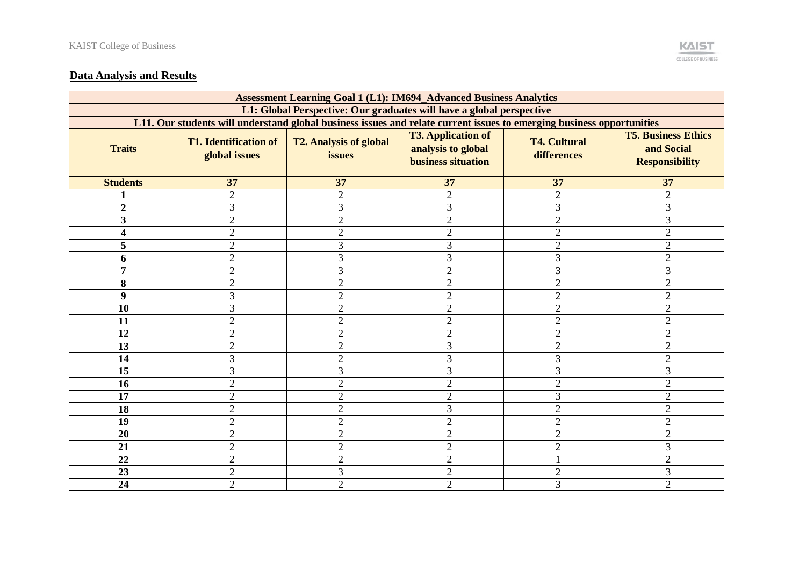

### **Data Analysis and Results**

| <b>Assessment Learning Goal 1 (L1): IM694_Advanced Business Analytics</b> |                                                                                                                       |                                         |                                                                              |                                    |                                                                   |  |  |
|---------------------------------------------------------------------------|-----------------------------------------------------------------------------------------------------------------------|-----------------------------------------|------------------------------------------------------------------------------|------------------------------------|-------------------------------------------------------------------|--|--|
| L1: Global Perspective: Our graduates will have a global perspective      |                                                                                                                       |                                         |                                                                              |                                    |                                                                   |  |  |
|                                                                           | L11. Our students will understand global business issues and relate current issues to emerging business opportunities |                                         |                                                                              |                                    |                                                                   |  |  |
| <b>Traits</b>                                                             | <b>T1. Identification of</b><br>global issues                                                                         | <b>T2. Analysis of global</b><br>issues | <b>T3. Application of</b><br>analysis to global<br><b>business situation</b> | <b>T4. Cultural</b><br>differences | <b>T5. Business Ethics</b><br>and Social<br><b>Responsibility</b> |  |  |
| <b>Students</b>                                                           | 37                                                                                                                    | 37                                      | 37                                                                           | 37                                 | 37                                                                |  |  |
|                                                                           | $\overline{2}$                                                                                                        | $\overline{2}$                          | $\overline{2}$                                                               | $\overline{2}$                     | $\overline{2}$                                                    |  |  |
| $\overline{2}$                                                            | 3                                                                                                                     | 3                                       | 3                                                                            | 3                                  | 3                                                                 |  |  |
| $\overline{\mathbf{3}}$                                                   | $\sqrt{2}$                                                                                                            | $\overline{2}$                          | $\overline{2}$                                                               | $\mathbf{2}$                       | 3                                                                 |  |  |
| 4                                                                         | $\overline{2}$                                                                                                        | $\overline{2}$                          | $\overline{2}$                                                               | $\overline{2}$                     | $\overline{2}$                                                    |  |  |
| 5                                                                         | $\overline{2}$                                                                                                        | 3                                       | 3                                                                            | $\overline{2}$                     | $\overline{2}$                                                    |  |  |
| 6                                                                         | $\overline{2}$                                                                                                        | 3                                       | 3                                                                            | 3                                  | $\overline{2}$                                                    |  |  |
| 7                                                                         | $\overline{2}$                                                                                                        | 3                                       | $\overline{2}$                                                               | 3                                  | 3                                                                 |  |  |
| 8                                                                         | $\overline{2}$                                                                                                        | $\overline{2}$                          | $\overline{2}$                                                               | $\overline{2}$                     | $\overline{2}$                                                    |  |  |
| 9                                                                         | 3                                                                                                                     | $\overline{2}$                          | $\overline{2}$                                                               | $\overline{2}$                     | $\overline{2}$                                                    |  |  |
| 10                                                                        | 3                                                                                                                     | $\overline{2}$                          | $\overline{2}$                                                               | $\overline{2}$                     | $\overline{2}$                                                    |  |  |
| 11                                                                        | $\overline{2}$                                                                                                        | $\overline{2}$                          | $\overline{2}$                                                               | $\overline{2}$                     | $\overline{2}$                                                    |  |  |
| 12                                                                        | $\overline{2}$                                                                                                        | $\overline{2}$                          | $\overline{2}$                                                               | $\overline{2}$                     | $\overline{2}$                                                    |  |  |
| 13                                                                        | $\overline{2}$                                                                                                        | $\overline{2}$                          | 3                                                                            | $\overline{2}$                     | $\overline{2}$                                                    |  |  |
| 14                                                                        | 3                                                                                                                     | $\overline{2}$                          | 3                                                                            | 3                                  | $\overline{2}$                                                    |  |  |
| 15                                                                        | 3                                                                                                                     | 3                                       | 3                                                                            | 3                                  | 3                                                                 |  |  |
| 16                                                                        | $\overline{2}$                                                                                                        | $\overline{2}$                          | $\overline{2}$                                                               | $\overline{2}$                     | $\overline{2}$                                                    |  |  |
| 17                                                                        | $\overline{2}$                                                                                                        | $\overline{2}$                          | $\overline{2}$                                                               | 3                                  | $\overline{2}$                                                    |  |  |
| 18                                                                        | $\overline{2}$                                                                                                        | $\overline{2}$                          | 3                                                                            | $\overline{2}$                     | $\overline{2}$                                                    |  |  |
| 19                                                                        | $\overline{2}$                                                                                                        | $\overline{2}$                          | $\overline{2}$                                                               | $\overline{2}$                     | $\overline{2}$                                                    |  |  |
| 20                                                                        | $\overline{2}$                                                                                                        | $\overline{2}$                          | $\overline{2}$                                                               | $\overline{2}$                     | $\overline{2}$                                                    |  |  |
| 21                                                                        | $\overline{2}$                                                                                                        | $\overline{2}$                          | $\overline{2}$                                                               | $\overline{2}$                     | 3                                                                 |  |  |
| 22                                                                        | $\overline{2}$                                                                                                        | $\overline{2}$                          | $\overline{2}$                                                               |                                    | $\overline{2}$                                                    |  |  |
| 23                                                                        | $\overline{2}$                                                                                                        | 3                                       | $\overline{2}$                                                               | $\sqrt{2}$                         | 3                                                                 |  |  |
| 24                                                                        | $\overline{2}$                                                                                                        | $\overline{2}$                          | $\overline{2}$                                                               | 3                                  | $\overline{2}$                                                    |  |  |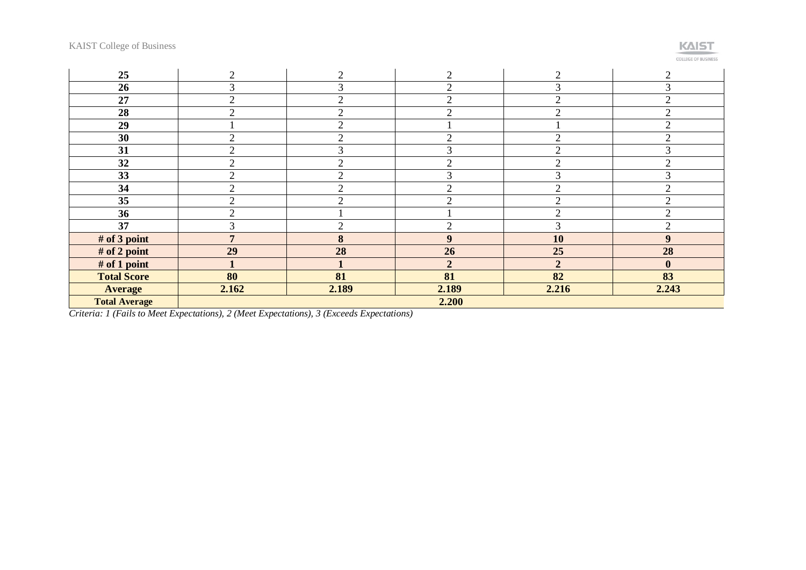# **KAIST**

**COLLEGE OF BUSINESS** 

| 25                   | $\overline{2}$ | $\overline{2}$ | $\overline{2}$ | $\overline{2}$ | $\overline{2}$   |
|----------------------|----------------|----------------|----------------|----------------|------------------|
| 26                   | 3              | ⌒              | ↑              | 3              | 3                |
| 27                   | $\overline{2}$ | $\overline{2}$ | C              | $\overline{2}$ | $\overline{2}$   |
| 28                   | $\overline{2}$ | $\overline{2}$ | 2              | $\overline{2}$ | $\overline{2}$   |
| 29                   |                | $\overline{2}$ |                |                | $\overline{2}$   |
| 30                   | $\overline{2}$ | $\overline{2}$ | 2              | $\overline{2}$ | $\overline{2}$   |
| 31                   | $\overline{2}$ | 3              | 3              | $\overline{2}$ | 3                |
| 32                   | $\overline{2}$ | $\overline{2}$ | $\overline{2}$ | $\mathfrak{2}$ | $\overline{2}$   |
| 33                   | $\overline{2}$ | $\overline{2}$ | 3              | 3              | 3                |
| 34                   | $\overline{2}$ | $\overline{2}$ | $\overline{2}$ | $\mathfrak{2}$ | $\overline{2}$   |
| 35                   | $\overline{2}$ | $\overline{2}$ | $\overline{2}$ | $\overline{2}$ | $\overline{2}$   |
| 36                   | $\overline{2}$ |                |                | $\overline{2}$ | $\overline{2}$   |
| 37                   | 3              | $\bigcirc$     | C              | 3              | $\overline{2}$   |
| # of 3 point         | $\overline{7}$ | 8              | 9              | 10             | 9                |
| # of 2 point         | 29             | 28             | 26             | 25             | 28               |
| $#$ of 1 point       |                |                | $\overline{2}$ | $\overline{2}$ | $\boldsymbol{0}$ |
| <b>Total Score</b>   | 80             | 81             | 81             | 82             | 83               |
| <b>Average</b>       | 2.162          | 2.189          | 2.189          | 2.216          | 2.243            |
| <b>Total Average</b> | 2.200          |                |                |                |                  |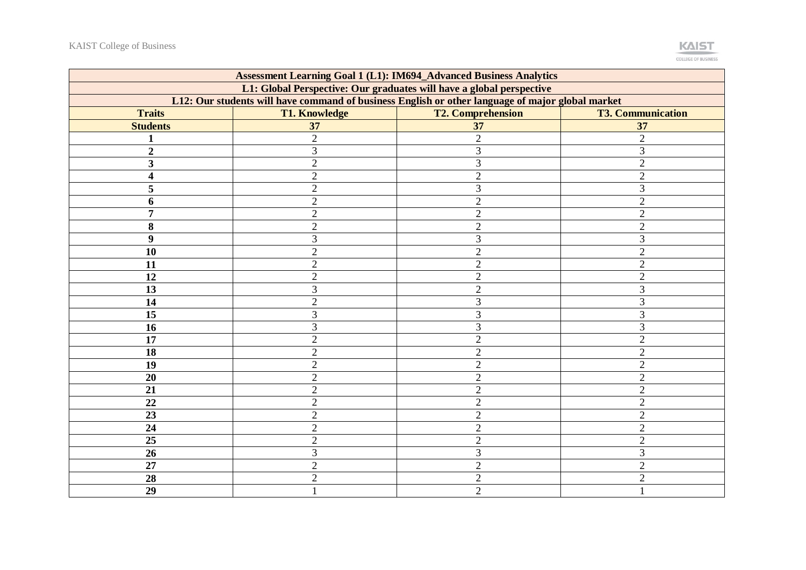

| <b>Assessment Learning Goal 1 (L1): IM694_Advanced Business Analytics</b> |                                                                                                  |                          |                          |  |  |  |  |  |  |
|---------------------------------------------------------------------------|--------------------------------------------------------------------------------------------------|--------------------------|--------------------------|--|--|--|--|--|--|
| L1: Global Perspective: Our graduates will have a global perspective      |                                                                                                  |                          |                          |  |  |  |  |  |  |
|                                                                           | L12: Our students will have command of business English or other language of major global market |                          |                          |  |  |  |  |  |  |
| <b>Traits</b>                                                             | <b>T1. Knowledge</b>                                                                             | <b>T2. Comprehension</b> | <b>T3. Communication</b> |  |  |  |  |  |  |
| <b>Students</b>                                                           | 37                                                                                               | 37                       | 37                       |  |  |  |  |  |  |
|                                                                           | $\overline{2}$                                                                                   | $\overline{2}$           | $\overline{2}$           |  |  |  |  |  |  |
| $\overline{2}$                                                            | $\overline{3}$                                                                                   | 3                        | 3                        |  |  |  |  |  |  |
| 3                                                                         | $\overline{2}$                                                                                   | 3                        | $\overline{2}$           |  |  |  |  |  |  |
| 4                                                                         | $\overline{2}$                                                                                   | $\overline{2}$           | $\overline{2}$           |  |  |  |  |  |  |
| 5                                                                         | $\overline{2}$                                                                                   | 3                        | 3                        |  |  |  |  |  |  |
| 6                                                                         | $\overline{2}$                                                                                   | $\overline{2}$           | $\overline{2}$           |  |  |  |  |  |  |
| 7                                                                         | $\overline{2}$                                                                                   | $\overline{2}$           | $\overline{2}$           |  |  |  |  |  |  |
| 8                                                                         | $\overline{2}$                                                                                   | $\overline{2}$           | $\overline{2}$           |  |  |  |  |  |  |
| $\boldsymbol{9}$                                                          | 3                                                                                                | 3                        | 3                        |  |  |  |  |  |  |
| 10                                                                        | $\overline{2}$                                                                                   | $\overline{2}$           | $\overline{2}$           |  |  |  |  |  |  |
| 11                                                                        | $\overline{2}$                                                                                   | $\mathfrak{2}$           | $\overline{2}$           |  |  |  |  |  |  |
| 12                                                                        | $\overline{2}$                                                                                   | $\overline{2}$           | $\overline{2}$           |  |  |  |  |  |  |
| 13                                                                        | 3                                                                                                | $\overline{2}$           | 3                        |  |  |  |  |  |  |
| 14                                                                        | $\sqrt{2}$                                                                                       | 3                        | 3                        |  |  |  |  |  |  |
| 15                                                                        | 3                                                                                                | 3                        | 3                        |  |  |  |  |  |  |
| 16                                                                        | 3                                                                                                | 3                        | 3                        |  |  |  |  |  |  |
| $\overline{17}$                                                           | $\overline{2}$                                                                                   | $\overline{2}$           | $\overline{2}$           |  |  |  |  |  |  |
| 18                                                                        | $\overline{2}$                                                                                   | $\overline{2}$           | $\overline{2}$           |  |  |  |  |  |  |
| 19                                                                        | $\overline{2}$                                                                                   | $\overline{2}$           | $\overline{2}$           |  |  |  |  |  |  |
| 20                                                                        | $\overline{2}$                                                                                   | $\overline{2}$           | $\overline{2}$           |  |  |  |  |  |  |
| 21                                                                        | $\overline{2}$                                                                                   | $\overline{2}$           | $\mathbf{2}$             |  |  |  |  |  |  |
| 22                                                                        | $\sqrt{2}$                                                                                       | $\mathfrak{2}$           | $\mathbf{2}$             |  |  |  |  |  |  |
| 23                                                                        | $\overline{2}$                                                                                   | $\overline{2}$           | $\overline{2}$           |  |  |  |  |  |  |
| 24                                                                        | $\overline{2}$                                                                                   | $\overline{2}$           | $\overline{2}$           |  |  |  |  |  |  |
| 25                                                                        | $\overline{2}$                                                                                   | $\overline{2}$           | $\overline{2}$           |  |  |  |  |  |  |
| 26                                                                        | 3                                                                                                | 3                        | 3                        |  |  |  |  |  |  |
| 27                                                                        | $\overline{2}$                                                                                   | $\overline{2}$           | $\overline{2}$           |  |  |  |  |  |  |
| 28                                                                        | $\overline{2}$                                                                                   | $\overline{2}$           | $\overline{2}$           |  |  |  |  |  |  |
| 29                                                                        |                                                                                                  | $\overline{2}$           |                          |  |  |  |  |  |  |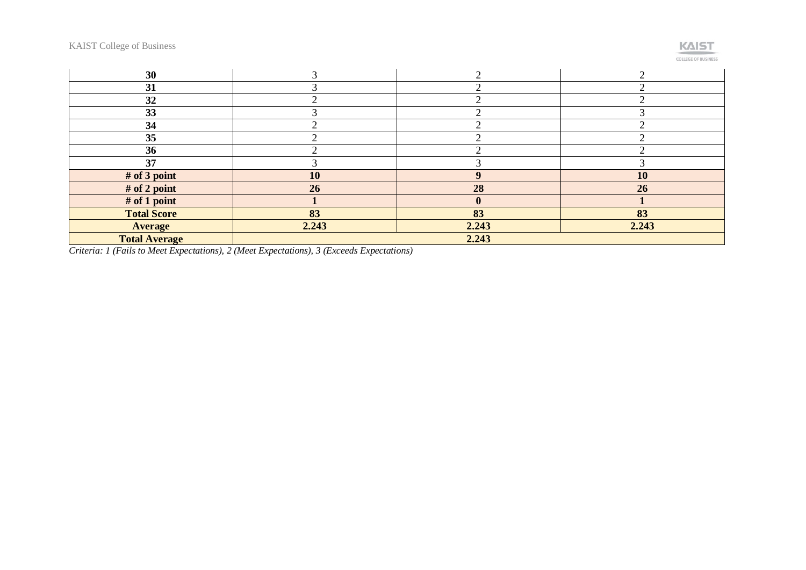

**COLLEGE OF BUSINESS** 

| 30                   |       |              |       |  |
|----------------------|-------|--------------|-------|--|
| 31                   |       |              |       |  |
| 32                   |       |              |       |  |
| 33                   |       |              |       |  |
| 34                   |       |              |       |  |
| 35                   |       |              |       |  |
| 36                   |       |              |       |  |
| 37                   |       |              |       |  |
| # of 3 point         | 10    | $\Omega$     | 10    |  |
| # of 2 point         | 26    | 28           | 26    |  |
| $#$ of 1 point       |       | $\mathbf{0}$ |       |  |
| <b>Total Score</b>   | 83    | 83           | 83    |  |
| <b>Average</b>       | 2.243 | 2.243        | 2.243 |  |
| <b>Total Average</b> | 2.243 |              |       |  |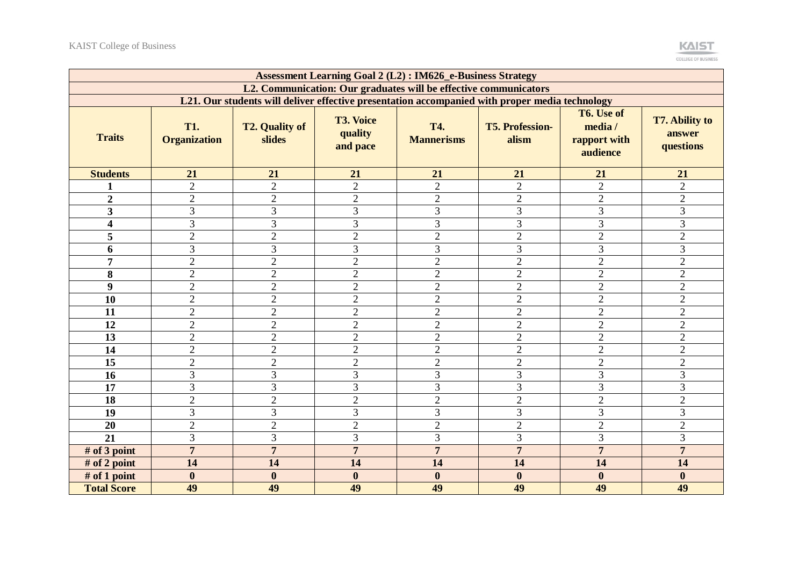

| <b>Assessment Learning Goal 2 (L2): IM626_e-Business Strategy</b> |                                   |                                                                                                |                                         |                                 |                                 |                                                   |                                              |  |
|-------------------------------------------------------------------|-----------------------------------|------------------------------------------------------------------------------------------------|-----------------------------------------|---------------------------------|---------------------------------|---------------------------------------------------|----------------------------------------------|--|
| L2. Communication: Our graduates will be effective communicators  |                                   |                                                                                                |                                         |                                 |                                 |                                                   |                                              |  |
|                                                                   |                                   | L21. Our students will deliver effective presentation accompanied with proper media technology |                                         |                                 |                                 |                                                   |                                              |  |
| <b>Traits</b>                                                     | <b>T1.</b><br><b>Organization</b> | <b>T2. Quality of</b><br>slides                                                                | <b>T3. Voice</b><br>quality<br>and pace | <b>T4.</b><br><b>Mannerisms</b> | <b>T5. Profession-</b><br>alism | T6. Use of<br>media /<br>rapport with<br>audience | <b>T7. Ability to</b><br>answer<br>questions |  |
| <b>Students</b>                                                   | 21                                | 21                                                                                             | 21                                      | 21                              | 21                              | 21                                                | 21                                           |  |
|                                                                   | $\overline{2}$                    | $\overline{2}$                                                                                 | $\overline{2}$                          | $\overline{2}$                  | $\overline{2}$                  | $\overline{2}$                                    | $\overline{2}$                               |  |
| $\boldsymbol{2}$                                                  | $\overline{2}$                    | $\overline{2}$                                                                                 | $\overline{2}$                          | $\overline{2}$                  | $\overline{2}$                  | $\overline{2}$                                    | $\overline{2}$                               |  |
| $\overline{\mathbf{3}}$                                           | 3                                 | 3                                                                                              | $\overline{3}$                          | $\overline{3}$                  | 3                               | 3                                                 | $\overline{3}$                               |  |
| 4                                                                 | 3                                 | 3                                                                                              | 3                                       | $\overline{3}$                  | 3                               | 3                                                 | 3                                            |  |
| 5                                                                 | $\overline{2}$                    | $\overline{2}$                                                                                 | $\overline{2}$                          | $\overline{2}$                  | $\overline{2}$                  | $\overline{2}$                                    | $\overline{2}$                               |  |
| 6                                                                 | $\overline{3}$                    | 3                                                                                              | $\overline{3}$                          | $\overline{3}$                  | 3                               | 3                                                 | $\overline{3}$                               |  |
| $\overline{7}$                                                    | $\overline{2}$                    | $\overline{2}$                                                                                 | $\overline{2}$                          | $\overline{2}$                  | $\overline{2}$                  | $\overline{2}$                                    | $\overline{2}$                               |  |
| $\bf{8}$                                                          | $\overline{2}$                    | $\overline{2}$                                                                                 | $\sqrt{2}$                              | $\overline{2}$                  | $\sqrt{2}$                      | $\sqrt{2}$                                        | $\overline{2}$                               |  |
| 9                                                                 | $\overline{2}$                    | $\overline{2}$                                                                                 | $\overline{2}$                          | $\overline{2}$                  | $\overline{2}$                  | $\overline{2}$                                    | $\overline{2}$                               |  |
| 10                                                                | $\overline{2}$                    | $\overline{2}$                                                                                 | $\overline{2}$                          | $\overline{2}$                  | $\overline{2}$                  | $\overline{2}$                                    | $\overline{2}$                               |  |
| 11                                                                | $\overline{2}$                    | $\overline{2}$                                                                                 | $\overline{2}$                          | $\overline{2}$                  | $\overline{2}$                  | $\overline{2}$                                    | $\overline{2}$                               |  |
| 12                                                                | $\overline{2}$                    | $\overline{2}$                                                                                 | $\overline{2}$                          | $\overline{2}$                  | $\overline{2}$                  | $\overline{2}$                                    | $\overline{2}$                               |  |
| 13                                                                | $\overline{2}$                    | $\overline{2}$                                                                                 | $\overline{2}$                          | $\overline{2}$                  | $\overline{2}$                  | $\overline{2}$                                    | $\overline{2}$                               |  |
| 14                                                                | $\overline{2}$                    | $\overline{2}$                                                                                 | $\overline{2}$                          | $\overline{2}$                  | $\overline{2}$                  | $\overline{2}$                                    | $\overline{2}$                               |  |
| 15                                                                | $\overline{2}$                    | $\overline{2}$                                                                                 | $\overline{2}$                          | $\overline{2}$                  | $\overline{2}$                  | $\overline{2}$                                    | $\overline{2}$                               |  |
| 16                                                                | 3                                 | $\overline{3}$                                                                                 | 3                                       | 3                               | $\overline{3}$                  | 3                                                 | 3                                            |  |
| 17                                                                | 3                                 | 3                                                                                              | 3                                       | 3                               | 3                               | 3                                                 | $\overline{3}$                               |  |
| 18                                                                | $\overline{2}$                    | $\overline{2}$                                                                                 | $\overline{2}$                          | $\overline{2}$                  | $\overline{2}$                  | $\overline{2}$                                    | $\overline{2}$                               |  |
| 19                                                                | 3                                 | 3                                                                                              | 3                                       | $\overline{3}$                  | 3                               | 3                                                 | $\overline{3}$                               |  |
| 20                                                                | $\overline{2}$                    | $\overline{2}$                                                                                 | $\overline{2}$                          | $\overline{2}$                  | $\overline{2}$                  | $\overline{2}$                                    | $\overline{2}$                               |  |
| 21                                                                | 3                                 | 3                                                                                              | 3                                       | 3                               | 3                               | 3                                                 | 3                                            |  |
| # of 3 point                                                      | $\overline{7}$                    | $\overline{7}$                                                                                 | $\overline{7}$                          | $\overline{7}$                  | $\overline{7}$                  | $\overline{7}$                                    | $\overline{7}$                               |  |
| # of 2 point                                                      | 14                                | 14                                                                                             | 14                                      | 14                              | 14                              | 14                                                | 14                                           |  |
| # of 1 point                                                      | $\boldsymbol{0}$                  | $\boldsymbol{0}$                                                                               | $\boldsymbol{0}$                        | $\bf{0}$                        | $\boldsymbol{0}$                | $\boldsymbol{0}$                                  | $\boldsymbol{0}$                             |  |
| <b>Total Score</b>                                                | 49                                | 49                                                                                             | 49                                      | 49                              | 49                              | 49                                                | 49                                           |  |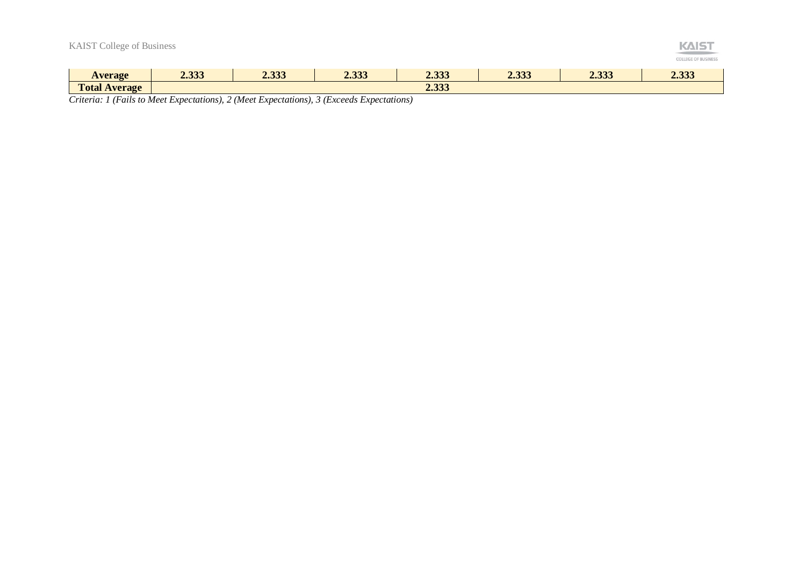| <b>KAIST College of Business</b> |       |       |       |       |       |       | <b>KAIS</b><br><b>COLLEGE OF BUSINESS</b> |
|----------------------------------|-------|-------|-------|-------|-------|-------|-------------------------------------------|
| <b>Average</b>                   | 2.333 | 2.333 | 2.333 | 2.333 | 2.333 | 2.333 | 2.333                                     |
| <b>Total Average</b>             |       |       |       | 2.333 |       |       |                                           |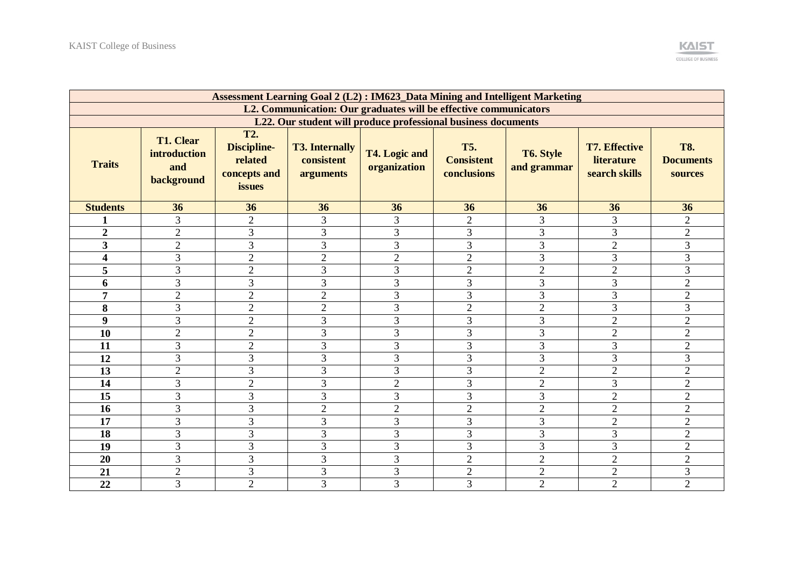|                                                                  | <b>Assessment Learning Goal 2 (L2): IM623_Data Mining and Intelligent Marketing</b> |                                                                       |                                                  |                               |                                                |                          |                                                            |                                           |  |
|------------------------------------------------------------------|-------------------------------------------------------------------------------------|-----------------------------------------------------------------------|--------------------------------------------------|-------------------------------|------------------------------------------------|--------------------------|------------------------------------------------------------|-------------------------------------------|--|
| L2. Communication: Our graduates will be effective communicators |                                                                                     |                                                                       |                                                  |                               |                                                |                          |                                                            |                                           |  |
| L22. Our student will produce professional business documents    |                                                                                     |                                                                       |                                                  |                               |                                                |                          |                                                            |                                           |  |
| <b>Traits</b>                                                    | <b>T1. Clear</b><br>introduction<br>and<br>background                               | <b>T2.</b><br><b>Discipline-</b><br>related<br>concepts and<br>issues | <b>T3. Internally</b><br>consistent<br>arguments | T4. Logic and<br>organization | <b>T5.</b><br><b>Consistent</b><br>conclusions | T6. Style<br>and grammar | <b>T7. Effective</b><br><b>literature</b><br>search skills | <b>T8.</b><br><b>Documents</b><br>sources |  |
| <b>Students</b>                                                  | 36                                                                                  | 36                                                                    | 36                                               | 36                            | 36                                             | 36                       | 36                                                         | 36                                        |  |
| 1                                                                | 3                                                                                   | $\overline{2}$                                                        | 3                                                | 3                             | $\overline{2}$                                 | 3                        | 3                                                          | $\sqrt{2}$                                |  |
| $\overline{2}$                                                   | $\overline{2}$                                                                      | 3                                                                     | 3                                                | 3                             | 3                                              | 3                        | 3                                                          | $\overline{2}$                            |  |
| $\overline{\mathbf{3}}$                                          | $\overline{2}$                                                                      | $\overline{3}$                                                        | 3                                                | 3                             | $\overline{3}$                                 | 3                        | $\overline{2}$                                             | $\overline{3}$                            |  |
| $\overline{\mathbf{4}}$                                          | 3                                                                                   | $\overline{2}$                                                        | $\overline{2}$                                   | $\overline{2}$                | $\overline{2}$                                 | 3                        | 3                                                          | $\overline{3}$                            |  |
| 5                                                                | 3                                                                                   | $\overline{2}$                                                        | $\overline{3}$                                   | 3                             | $\overline{2}$                                 | $\overline{2}$           | $\overline{2}$                                             | $\overline{3}$                            |  |
| 6                                                                | 3                                                                                   | 3                                                                     | 3                                                | 3                             | 3                                              | 3                        | $\overline{3}$                                             | $\overline{2}$                            |  |
| $\overline{7}$                                                   | $\overline{2}$                                                                      | $\overline{2}$                                                        | $\overline{2}$                                   | 3                             | 3                                              | 3                        | 3                                                          | $\overline{2}$                            |  |
| 8                                                                | $\overline{3}$                                                                      | $\overline{2}$                                                        | $\overline{2}$                                   | 3                             | $\overline{2}$                                 | $\overline{2}$           | 3                                                          | $\overline{3}$                            |  |
| $\boldsymbol{9}$                                                 | $\overline{3}$                                                                      | $\overline{2}$                                                        | 3                                                | 3                             | $\overline{3}$                                 | 3                        | $\overline{2}$                                             | $\overline{2}$                            |  |
| 10                                                               | $\overline{2}$                                                                      | $\overline{2}$                                                        | 3                                                | 3                             | 3                                              | 3                        | $\overline{2}$                                             | $\overline{2}$                            |  |
| 11                                                               | 3                                                                                   | $\overline{2}$                                                        | 3                                                | 3                             | 3                                              | $\overline{3}$           | 3                                                          | $\overline{2}$                            |  |
| 12                                                               | 3                                                                                   | 3                                                                     | 3                                                | 3                             | 3                                              | 3                        | 3                                                          | $\overline{3}$                            |  |
| 13                                                               | $\overline{2}$                                                                      | 3                                                                     | 3                                                | 3                             | $\overline{3}$                                 | $\overline{2}$           | $\overline{2}$                                             | $\overline{2}$                            |  |
| 14                                                               | 3                                                                                   | $\overline{2}$                                                        | 3                                                | $\overline{2}$                | $\mathfrak{Z}$                                 | $\overline{2}$           | 3                                                          | $\overline{2}$                            |  |
| 15                                                               | 3                                                                                   | 3                                                                     | 3                                                | 3                             | 3                                              | 3                        | $\overline{2}$                                             | $\overline{2}$                            |  |
| 16                                                               | 3                                                                                   | 3                                                                     | $\overline{2}$                                   | $\overline{2}$                | $\overline{2}$                                 | $\overline{2}$           | $\overline{2}$                                             | $\mathfrak{2}$                            |  |
| 17                                                               | 3                                                                                   | 3                                                                     | 3                                                | $\overline{3}$                | 3                                              | 3                        | $\overline{2}$                                             | $\overline{2}$                            |  |
| 18                                                               | $\overline{3}$                                                                      | 3                                                                     | 3                                                | 3                             | 3                                              | 3                        | $\overline{3}$                                             | $\overline{2}$                            |  |
| 19                                                               | 3                                                                                   | 3                                                                     | $\overline{3}$                                   | $\overline{3}$                | 3                                              | 3                        | 3                                                          | $\overline{2}$                            |  |
| 20                                                               | 3                                                                                   | 3                                                                     | 3                                                | $\overline{3}$                | $\overline{2}$                                 | $\overline{2}$           | $\sqrt{2}$                                                 | $\overline{2}$                            |  |
| 21                                                               | $\overline{2}$                                                                      | $\mathfrak{Z}$                                                        | 3                                                | 3                             | $\overline{2}$                                 | $\overline{2}$           | $\overline{2}$                                             | $\overline{3}$                            |  |
| $\overline{22}$                                                  | $\overline{3}$                                                                      | $\overline{2}$                                                        | $\overline{3}$                                   | $\overline{3}$                | $\overline{3}$                                 | $\overline{2}$           | $\overline{2}$                                             | $\overline{2}$                            |  |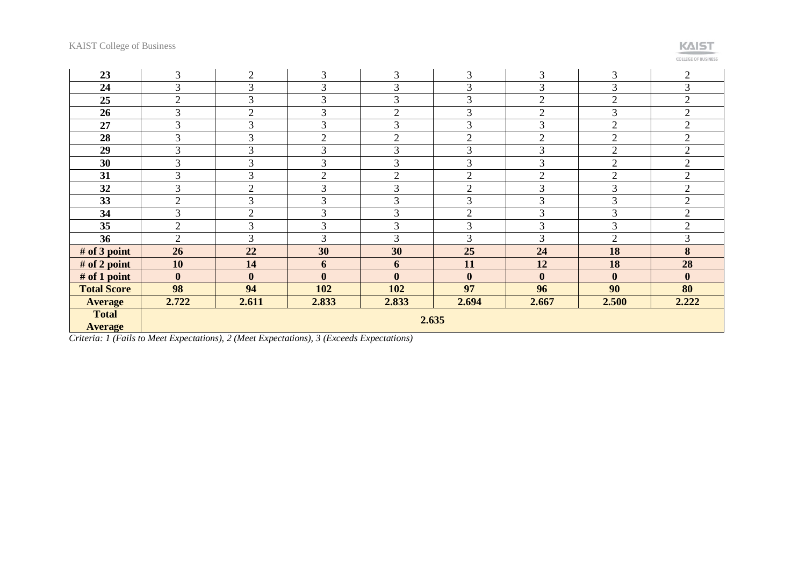

**COLLEGE OF BUSINESS** 

| 23                             | 3                | $\overline{2}$ | 3              | 3              | 3              | 3              | 3                | $\overline{2}$   |
|--------------------------------|------------------|----------------|----------------|----------------|----------------|----------------|------------------|------------------|
| 24                             | 3                | 3              | 3              | 3              | 3              | 3              | 3                | 3                |
| 25                             | $\overline{2}$   | 3              | 3              | 3              | 3              | $\overline{2}$ | $\overline{2}$   | $\overline{2}$   |
| 26                             | 3                | $\overline{2}$ | 3              | $\overline{2}$ | $\overline{3}$ | $\overline{2}$ | 3                | $\overline{2}$   |
| 27                             | 3                | 3              | 3              | 3              | 3              | 3              | $\overline{2}$   | $\overline{2}$   |
| 28                             | 3                | 3              | $\overline{2}$ | $\overline{2}$ | $\overline{2}$ | $\overline{2}$ | $\mathfrak{2}$   | $\overline{2}$   |
| 29                             | $\mathfrak{Z}$   | 3              | 3              | 3              | $\overline{3}$ | 3              | $\overline{2}$   | $\overline{2}$   |
| 30                             | 3                | 3              | 3              | 3              | 3              | 3              | $\overline{2}$   | $\overline{2}$   |
| 31                             | 3                | 3              | $\overline{2}$ | $\overline{2}$ | $\overline{2}$ | $\overline{2}$ | $\overline{2}$   | $\overline{2}$   |
| 32                             | $\overline{3}$   | $\overline{2}$ | 3              | 3              | $\overline{2}$ | 3              | 3                | $\overline{2}$   |
| 33                             | $\sqrt{2}$       | 3              | 3              | 3              | 3              | 3              | 3                | $\overline{2}$   |
| 34                             | 3                | $\overline{2}$ | 3              | 3              | $\overline{2}$ | 3              | 3                | $\overline{2}$   |
| 35                             | $\sqrt{2}$       | 3              | 3              | 3              | 3              | 3              | 3                | $\overline{2}$   |
| 36                             | $\overline{2}$   | $\overline{3}$ | 3              | 3              | 3              | 3              | $\overline{2}$   | 3                |
| # of $3$ point                 | 26               | 22             | 30             | 30             | 25             | 24             | 18               | 8                |
| # of 2 point                   | 10               | 14             | 6              | 6              | 11             | 12             | 18               | 28               |
| # of 1 point                   | $\boldsymbol{0}$ | $\bf{0}$       | $\bf{0}$       | $\bf{0}$       | $\mathbf{0}$   | $\bf{0}$       | $\boldsymbol{0}$ | $\boldsymbol{0}$ |
| <b>Total Score</b>             | 98               | 94             | 102            | 102            | 97             | 96             | 90               | 80               |
| <b>Average</b>                 | 2.722            | 2.611          | 2.833          | 2.833          | 2.694          | 2.667          | 2.500            | 2.222            |
| <b>Total</b><br><b>Average</b> |                  | 2.635          |                |                |                |                |                  |                  |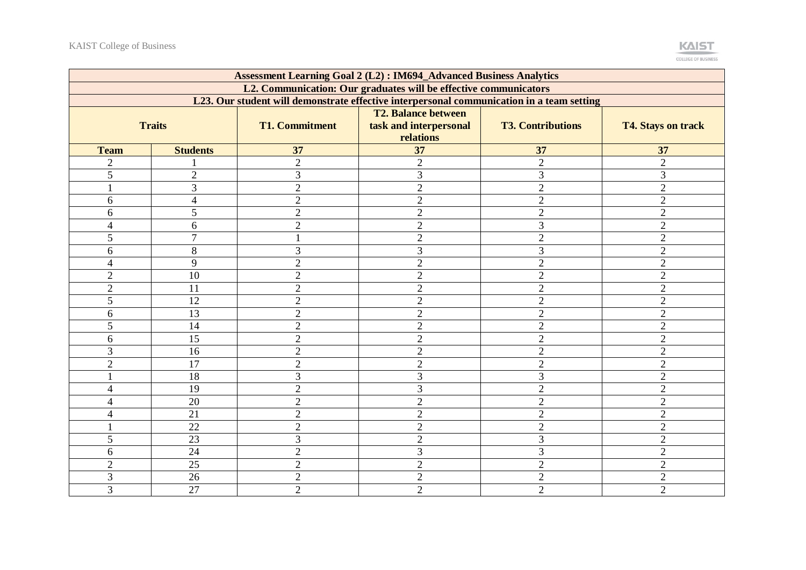|                                                                  | <b>Assessment Learning Goal 2 (L2): IM694_Advanced Business Analytics</b>                 |                                |                                     |                                  |                                  |  |  |
|------------------------------------------------------------------|-------------------------------------------------------------------------------------------|--------------------------------|-------------------------------------|----------------------------------|----------------------------------|--|--|
| L2. Communication: Our graduates will be effective communicators |                                                                                           |                                |                                     |                                  |                                  |  |  |
|                                                                  | L23. Our student will demonstrate effective interpersonal communication in a team setting |                                |                                     |                                  |                                  |  |  |
|                                                                  |                                                                                           |                                | <b>T2. Balance between</b>          |                                  |                                  |  |  |
|                                                                  | <b>Traits</b>                                                                             | <b>T1. Commitment</b>          | task and interpersonal<br>relations | <b>T3. Contributions</b>         | <b>T4. Stays on track</b>        |  |  |
| <b>Team</b>                                                      | <b>Students</b>                                                                           | 37                             | $\overline{37}$                     | 37                               | 37                               |  |  |
| $\overline{2}$                                                   |                                                                                           | $\overline{2}$                 | $\overline{2}$                      | $\overline{2}$                   | $\overline{2}$                   |  |  |
| 5                                                                | $\overline{2}$                                                                            | $\overline{3}$                 | $\overline{3}$                      | 3                                | 3                                |  |  |
|                                                                  | $\overline{3}$                                                                            | $\overline{2}$                 | $\overline{2}$                      | $\overline{2}$                   | $\overline{2}$                   |  |  |
| 6                                                                | $\overline{4}$                                                                            | $\overline{2}$                 | $\overline{2}$                      | $\overline{2}$                   | $\overline{2}$                   |  |  |
| 6                                                                | 5                                                                                         | $\overline{2}$                 | $\overline{2}$                      | $\overline{2}$                   | $\overline{2}$                   |  |  |
| $\overline{\mathcal{L}}$                                         | 6                                                                                         | $\overline{2}$                 | $\overline{2}$                      | 3                                | $\overline{2}$                   |  |  |
| 5                                                                | $\overline{7}$                                                                            |                                | $\overline{2}$                      | $\overline{2}$                   | $\overline{2}$                   |  |  |
| 6                                                                | 8                                                                                         | 3                              | 3                                   | 3                                | $\overline{2}$                   |  |  |
| 4                                                                | $\overline{9}$                                                                            | $\overline{2}$                 | $\overline{2}$                      | $\overline{2}$                   | $\overline{2}$                   |  |  |
| $\overline{2}$                                                   | 10                                                                                        | $\overline{2}$                 | $\overline{2}$                      | $\overline{2}$                   | $\overline{2}$                   |  |  |
| $\overline{2}$                                                   | 11                                                                                        | $\sqrt{2}$                     | $\overline{2}$                      | $\overline{2}$                   | $\overline{2}$                   |  |  |
| 5                                                                | 12                                                                                        | $\overline{2}$                 | $\overline{2}$                      | $\overline{2}$                   | $\overline{2}$                   |  |  |
| 6                                                                | 13                                                                                        | $\overline{2}$                 | $\overline{2}$                      | $\overline{2}$                   | $\overline{2}$                   |  |  |
| 5                                                                | 14                                                                                        | $\overline{2}$                 | $\overline{2}$                      | $\overline{2}$                   | $\overline{2}$                   |  |  |
|                                                                  | 15                                                                                        |                                |                                     |                                  |                                  |  |  |
| 6<br>3                                                           |                                                                                           | $\mathbf{2}$<br>$\overline{2}$ | $\overline{2}$                      | $\overline{2}$<br>$\overline{2}$ | $\mathfrak{2}$<br>$\overline{2}$ |  |  |
|                                                                  | 16                                                                                        |                                | $\overline{2}$                      |                                  |                                  |  |  |
| $\overline{2}$                                                   | 17                                                                                        | $\overline{2}$                 | $\overline{2}$                      | $\overline{2}$                   | $\overline{2}$                   |  |  |
|                                                                  | 18                                                                                        | $\overline{3}$                 | 3                                   | $\overline{3}$                   | $\overline{2}$                   |  |  |
| 4                                                                | 19                                                                                        | $\overline{2}$                 | $\overline{3}$                      | $\overline{2}$                   | $\overline{2}$                   |  |  |
| 4                                                                | 20                                                                                        | $\overline{2}$                 | $\mathbf{2}$                        | $\overline{2}$                   | $\overline{2}$                   |  |  |
| 4                                                                | 21                                                                                        | $\overline{2}$                 | $\overline{2}$                      | $\overline{2}$                   | $\overline{2}$                   |  |  |
|                                                                  | 22                                                                                        | $\overline{2}$                 | $\overline{2}$                      | $\overline{2}$                   | $\overline{2}$                   |  |  |
| 5                                                                | $\overline{23}$                                                                           | $\overline{3}$                 | $\overline{2}$                      | 3                                | $\overline{2}$                   |  |  |
| 6                                                                | 24                                                                                        | $\overline{2}$                 | 3                                   | 3                                | $\overline{2}$                   |  |  |
| $\overline{2}$                                                   | 25                                                                                        | $\overline{2}$                 | $\overline{2}$                      | $\overline{2}$                   | $\overline{2}$                   |  |  |
| 3                                                                | 26                                                                                        | $\overline{2}$                 | $\overline{2}$                      | $\overline{2}$                   | $\overline{2}$                   |  |  |
| 3                                                                | 27                                                                                        | $\overline{2}$                 | $\overline{2}$                      | $\overline{2}$                   | $\overline{2}$                   |  |  |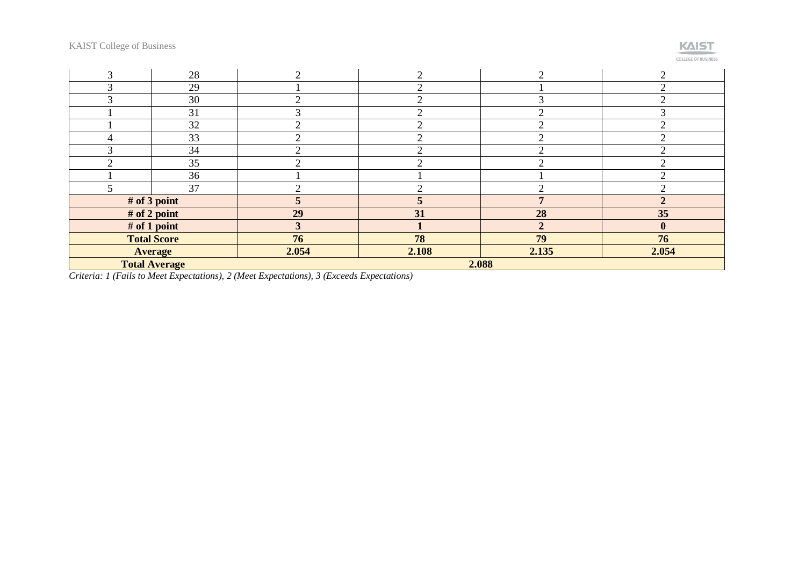| $\mathcal{R}$                 | 28                 | ി                           | ◠     | ◠              | ി                           |
|-------------------------------|--------------------|-----------------------------|-------|----------------|-----------------------------|
| $\mathcal{R}$                 | 29                 |                             | ↑     |                | $\overline{2}$              |
| $\sim$                        | 30                 |                             |       |                | $\bigcap$                   |
|                               | 31                 |                             |       |                | 3                           |
|                               | 32                 |                             |       |                | $\Omega$                    |
| 4                             | 33                 |                             |       |                |                             |
| $\mathcal{R}$                 | 34                 | $\mathcal{D}_{\mathcal{L}}$ | ⌒     | ◠              | $\mathcal{D}_{\mathcal{L}}$ |
| $\bigcap$                     | 35                 | ◠                           | ⌒     | ◠              | $\bigcap$                   |
|                               | 36                 |                             |       |                | $\overline{2}$              |
|                               | 37                 | ◠                           | ◠     | ◠              | $\bigcap$                   |
|                               | # of 3 point       |                             | C.    |                |                             |
|                               | # of 2 point       | 29                          | 31    | 28             | 35                          |
|                               | # of 1 point       |                             |       | $\overline{2}$ | $\mathbf{0}$                |
|                               | <b>Total Score</b> | 76                          | 78    | 79             | 76                          |
|                               | <b>Average</b>     | 2.054                       | 2.108 | 2.135          | 2.054                       |
| <b>Total Average</b><br>2.088 |                    |                             |       |                |                             |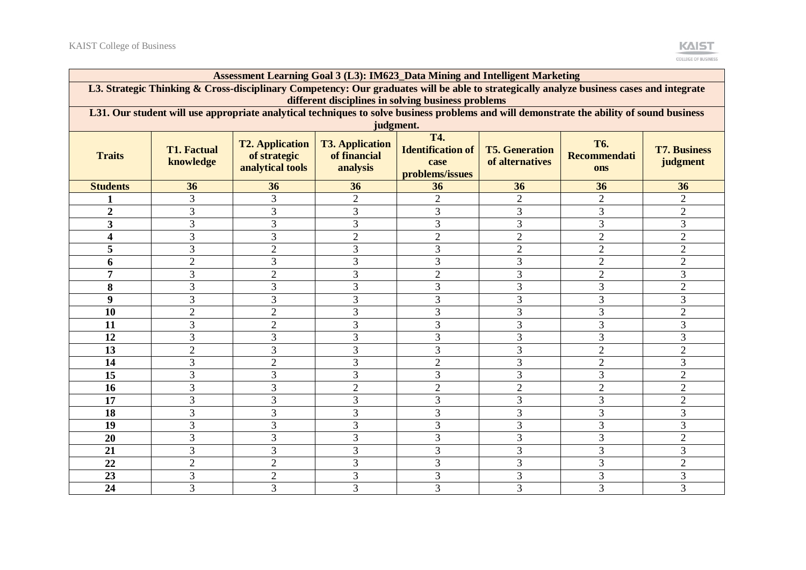|                                                                                                                                                                                                | Assessment Learning Goal 3 (L3): IM623_Data Mining and Intelligent Marketing                                                              |                                                            |                                                    |                                                                   |                                          |                                          |                                 |  |
|------------------------------------------------------------------------------------------------------------------------------------------------------------------------------------------------|-------------------------------------------------------------------------------------------------------------------------------------------|------------------------------------------------------------|----------------------------------------------------|-------------------------------------------------------------------|------------------------------------------|------------------------------------------|---------------------------------|--|
| L3. Strategic Thinking & Cross-disciplinary Competency: Our graduates will be able to strategically analyze business cases and integrate<br>different disciplines in solving business problems |                                                                                                                                           |                                                            |                                                    |                                                                   |                                          |                                          |                                 |  |
|                                                                                                                                                                                                | L31. Our student will use appropriate analytical techniques to solve business problems and will demonstrate the ability of sound business |                                                            |                                                    |                                                                   |                                          |                                          |                                 |  |
|                                                                                                                                                                                                | judgment.                                                                                                                                 |                                                            |                                                    |                                                                   |                                          |                                          |                                 |  |
| <b>Traits</b>                                                                                                                                                                                  | <b>T1. Factual</b><br>knowledge                                                                                                           | <b>T2. Application</b><br>of strategic<br>analytical tools | <b>T3. Application</b><br>of financial<br>analysis | <b>T4.</b><br><b>Identification of</b><br>case<br>problems/issues | <b>T5. Generation</b><br>of alternatives | <b>T6.</b><br>Recommendati<br><b>ons</b> | <b>T7. Business</b><br>judgment |  |
| <b>Students</b>                                                                                                                                                                                | 36                                                                                                                                        | 36                                                         | 36                                                 | 36                                                                | 36                                       | 36                                       | 36                              |  |
|                                                                                                                                                                                                | 3                                                                                                                                         | 3                                                          | $\overline{2}$                                     | $\overline{2}$                                                    | $\overline{2}$                           | $\overline{2}$                           | $\overline{2}$                  |  |
| $\overline{2}$                                                                                                                                                                                 | 3                                                                                                                                         | 3                                                          | 3                                                  | 3                                                                 | 3                                        | 3                                        | $\overline{2}$                  |  |
| 3                                                                                                                                                                                              | $\overline{3}$                                                                                                                            | 3                                                          | 3                                                  | $\overline{3}$                                                    | 3                                        | 3                                        | 3                               |  |
| 4                                                                                                                                                                                              | 3                                                                                                                                         | 3                                                          | $\overline{2}$                                     | $\overline{2}$                                                    | $\overline{2}$                           | $\overline{2}$                           | $\overline{2}$                  |  |
| 5                                                                                                                                                                                              | 3                                                                                                                                         | $\overline{2}$                                             | 3                                                  | 3                                                                 | $\overline{2}$                           | $\overline{2}$                           | $\overline{2}$                  |  |
| 6                                                                                                                                                                                              | $\overline{2}$                                                                                                                            | 3                                                          | 3                                                  | 3                                                                 | $\overline{3}$                           | $\overline{2}$                           | $\overline{2}$                  |  |
| 7                                                                                                                                                                                              | 3                                                                                                                                         | $\overline{2}$                                             | 3                                                  | $\overline{2}$                                                    | 3                                        | $\overline{2}$                           | 3                               |  |
| 8                                                                                                                                                                                              | $\overline{3}$                                                                                                                            | 3                                                          | 3                                                  | 3                                                                 | 3                                        | 3                                        | $\overline{2}$                  |  |
| $\boldsymbol{9}$                                                                                                                                                                               | $\overline{3}$                                                                                                                            | 3                                                          | 3                                                  | $\overline{3}$                                                    | $\overline{3}$                           | 3                                        | $\overline{3}$                  |  |
| 10                                                                                                                                                                                             | $\overline{2}$                                                                                                                            | $\overline{2}$                                             | 3                                                  | 3                                                                 | 3                                        | 3                                        | $\overline{2}$                  |  |
| 11                                                                                                                                                                                             | 3                                                                                                                                         | $\overline{2}$                                             | 3                                                  | 3                                                                 | 3                                        | 3                                        | 3                               |  |
| 12                                                                                                                                                                                             | 3                                                                                                                                         | 3                                                          | 3                                                  | 3                                                                 | 3                                        | 3                                        | 3                               |  |
| 13                                                                                                                                                                                             | $\overline{2}$                                                                                                                            | 3                                                          | 3                                                  | 3                                                                 | 3                                        | $\overline{2}$                           | $\overline{2}$                  |  |
| 14                                                                                                                                                                                             | 3                                                                                                                                         | $\overline{2}$                                             | 3                                                  | $\overline{2}$                                                    | 3                                        | $\overline{2}$                           | 3                               |  |
| 15                                                                                                                                                                                             | 3                                                                                                                                         | 3                                                          | 3                                                  | $\overline{3}$                                                    | 3                                        | 3                                        | $\overline{2}$                  |  |
| 16                                                                                                                                                                                             | $\overline{3}$                                                                                                                            | 3                                                          | $\overline{2}$                                     | $\overline{2}$                                                    | $\overline{2}$                           | $\overline{2}$                           | $\overline{2}$                  |  |
| 17                                                                                                                                                                                             | 3                                                                                                                                         | 3                                                          | 3                                                  | 3                                                                 | 3                                        | 3                                        | $\overline{2}$                  |  |
| 18                                                                                                                                                                                             | 3                                                                                                                                         | 3                                                          | 3                                                  | 3                                                                 | 3                                        | 3                                        | 3                               |  |
| 19                                                                                                                                                                                             | 3                                                                                                                                         | 3                                                          | 3                                                  | 3                                                                 | 3                                        | 3                                        | 3                               |  |
| 20                                                                                                                                                                                             | 3                                                                                                                                         | 3                                                          | 3                                                  | $\overline{3}$                                                    | $\overline{3}$                           | 3                                        | $\overline{2}$                  |  |
| 21                                                                                                                                                                                             | 3                                                                                                                                         | $\overline{3}$                                             | 3                                                  | $\overline{3}$                                                    | 3                                        | 3                                        | $\overline{3}$                  |  |
| 22                                                                                                                                                                                             | $\overline{2}$                                                                                                                            | $\overline{2}$                                             | 3                                                  | $\overline{3}$                                                    | 3                                        | 3                                        | $\overline{2}$                  |  |
| 23                                                                                                                                                                                             | 3                                                                                                                                         | $\overline{2}$                                             | 3                                                  | 3                                                                 | 3                                        | 3                                        | 3                               |  |
| 24                                                                                                                                                                                             | 3                                                                                                                                         | 3                                                          | 3                                                  | 3                                                                 | 3                                        | 3                                        | 3                               |  |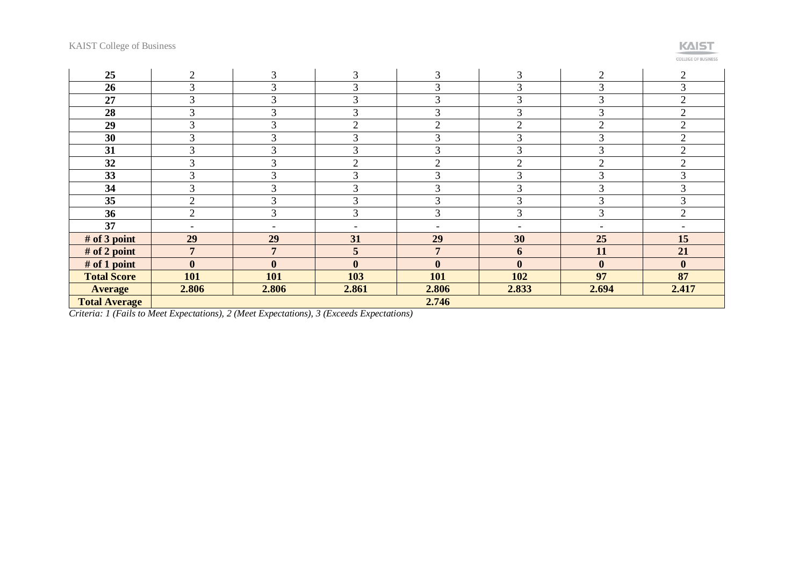

**COLLEGE OF BUSINESS** 

| 25                   | 2                        | 3                        | 3                        | 3                        | 3                        | 2                | $\overline{2}$   |
|----------------------|--------------------------|--------------------------|--------------------------|--------------------------|--------------------------|------------------|------------------|
| 26                   | 3                        | 3                        | 3                        | 3                        | 3                        | 3                | 3                |
| 27                   | 3                        | 3                        | 3                        | 3                        | 3                        | 3                | $\overline{2}$   |
| 28                   | ⌒<br>J.                  | 3                        | 3                        | 3                        |                          | 3                | $\overline{2}$   |
| 29                   | ⌒<br>J.                  | 3                        | $\overline{2}$           | $\overline{2}$           | ◠                        | $\overline{2}$   | $\overline{2}$   |
| 30                   | 3                        | 3                        | 3                        | 3                        | 3                        | 3                | $\overline{2}$   |
| 31                   | $\sim$                   | 3                        | 3                        | 3                        | ⌒                        | 3                | $\overline{2}$   |
| 32                   | 3                        | ⌒                        | $\overline{2}$           | $\overline{2}$           | ◠                        | $\overline{2}$   | $\overline{2}$   |
| 33                   | 3                        | 3                        | 3                        | 3                        | 3                        | 3                | 3                |
| 34                   | 3                        | 3                        | 3                        | 3                        | 3                        | 3                | 3                |
| 35                   | $\overline{2}$           | 3                        | 3                        | 3                        | $\sim$<br>K              | 3                | 3                |
| 36                   | $\overline{2}$           | 3                        | 3                        | 3                        | 3                        | 3                | $\overline{2}$   |
| 37                   | $\overline{\phantom{a}}$ | $\overline{\phantom{a}}$ | $\overline{\phantom{0}}$ | $\overline{\phantom{a}}$ | $\overline{\phantom{a}}$ |                  |                  |
| # of 3 point         | 29                       | 29                       | 31                       | 29                       | 30                       | 25               | 15               |
| # of 2 point         | $\overline{7}$           | $\overline{7}$           | 5                        | $\overline{7}$           | 6                        | 11               | 21               |
| # of 1 point         | $\boldsymbol{0}$         | $\boldsymbol{0}$         | $\boldsymbol{0}$         | $\bf{0}$                 | $\mathbf{0}$             | $\boldsymbol{0}$ | $\boldsymbol{0}$ |
| <b>Total Score</b>   | 101                      | 101                      | 103                      | 101                      | 102                      | 97               | 87               |
| <b>Average</b>       | 2.806                    | 2.806                    | 2.861                    | 2.806                    | 2.833                    | 2.694            | 2.417            |
| <b>Total Average</b> |                          |                          |                          | 2.746                    |                          |                  |                  |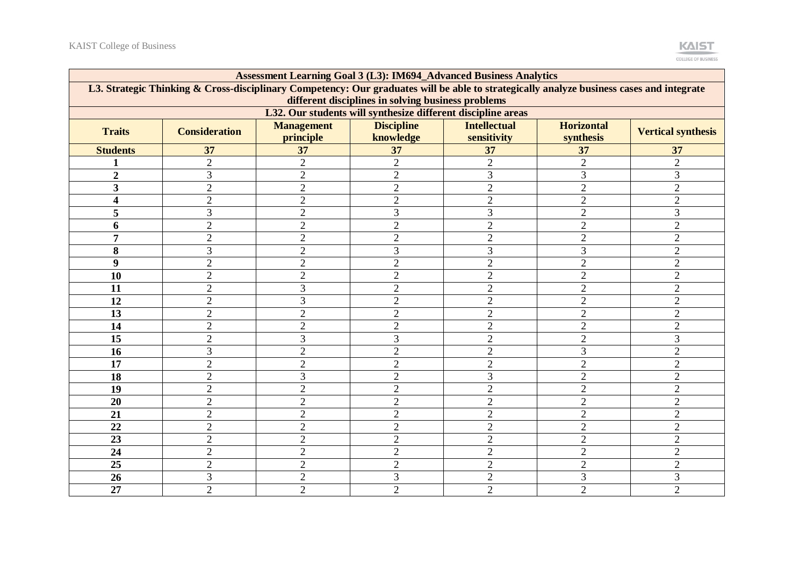

| <b>Assessment Learning Goal 3 (L3): IM694_Advanced Business Analytics</b>                                                                                                                      |                      |                                |                                |                                    |                                |                           |  |
|------------------------------------------------------------------------------------------------------------------------------------------------------------------------------------------------|----------------------|--------------------------------|--------------------------------|------------------------------------|--------------------------------|---------------------------|--|
| L3. Strategic Thinking & Cross-disciplinary Competency: Our graduates will be able to strategically analyze business cases and integrate<br>different disciplines in solving business problems |                      |                                |                                |                                    |                                |                           |  |
| L32. Our students will synthesize different discipline areas                                                                                                                                   |                      |                                |                                |                                    |                                |                           |  |
| <b>Traits</b>                                                                                                                                                                                  | <b>Consideration</b> | <b>Management</b><br>principle | <b>Discipline</b><br>knowledge | <b>Intellectual</b><br>sensitivity | <b>Horizontal</b><br>synthesis | <b>Vertical synthesis</b> |  |
| <b>Students</b>                                                                                                                                                                                | 37                   | 37                             | 37                             | 37                                 | 37                             | 37                        |  |
|                                                                                                                                                                                                | $\overline{2}$       | $\overline{2}$                 | $\overline{2}$                 | $\overline{2}$                     | $\overline{2}$                 | $\overline{2}$            |  |
| $\overline{2}$                                                                                                                                                                                 | 3                    | $\overline{2}$                 | $\overline{2}$                 | 3                                  | 3                              | 3                         |  |
| 3                                                                                                                                                                                              | $\overline{2}$       | $\overline{2}$                 | $\overline{2}$                 | $\overline{2}$                     | $\overline{2}$                 | $\overline{2}$            |  |
| $\overline{\mathbf{4}}$                                                                                                                                                                        | $\overline{2}$       | $\overline{2}$                 | $\overline{2}$                 | $\overline{2}$                     | $\overline{2}$                 | $\overline{2}$            |  |
| 5                                                                                                                                                                                              | $\overline{3}$       | $\overline{2}$                 | 3                              | $\overline{3}$                     | $\overline{2}$                 | 3                         |  |
| 6                                                                                                                                                                                              | $\overline{2}$       | $\overline{2}$                 | $\overline{2}$                 | $\overline{2}$                     | $\overline{2}$                 | $\overline{2}$            |  |
| 7                                                                                                                                                                                              | $\overline{c}$       | $\overline{2}$                 | $\overline{2}$                 | $\overline{c}$                     | $\overline{2}$                 | $\overline{2}$            |  |
| 8                                                                                                                                                                                              | 3                    | $\overline{2}$                 | 3                              | 3                                  | 3                              | $\overline{2}$            |  |
| 9                                                                                                                                                                                              | $\overline{2}$       | $\overline{2}$                 | $\overline{2}$                 | $\overline{2}$                     | $\overline{2}$                 | $\overline{2}$            |  |
| 10                                                                                                                                                                                             | $\overline{2}$       | $\overline{2}$                 | $\overline{2}$                 | $\overline{2}$                     | $\overline{2}$                 | $\overline{2}$            |  |
| 11                                                                                                                                                                                             | $\overline{2}$       | 3                              | $\overline{2}$                 | $\overline{2}$                     | $\overline{2}$                 | $\overline{2}$            |  |
| 12                                                                                                                                                                                             | $\overline{2}$       | 3                              | $\overline{2}$                 | $\overline{2}$                     | $\overline{2}$                 | $\overline{2}$            |  |
| 13                                                                                                                                                                                             | $\overline{2}$       | $\overline{2}$                 | $\overline{2}$                 | $\overline{2}$                     | $\overline{2}$                 | $\overline{2}$            |  |
| 14                                                                                                                                                                                             | $\overline{2}$       | $\overline{2}$                 | $\overline{2}$                 | $\overline{2}$                     | $\overline{2}$                 | $\overline{2}$            |  |
| 15                                                                                                                                                                                             | $\overline{2}$       | 3                              | 3                              | $\overline{2}$                     | $\overline{2}$                 | 3                         |  |
| 16                                                                                                                                                                                             | 3                    | $\overline{2}$                 | $\overline{2}$                 | $\overline{2}$                     | 3                              | $\overline{2}$            |  |
| 17                                                                                                                                                                                             | $\overline{2}$       | $\overline{2}$                 | $\overline{2}$                 | $\overline{c}$                     | $\overline{2}$                 | $\overline{2}$            |  |
| 18                                                                                                                                                                                             | $\overline{2}$       | 3                              | $\overline{2}$                 | 3                                  | $\overline{2}$                 | $\overline{2}$            |  |
| 19                                                                                                                                                                                             | $\overline{2}$       | $\overline{2}$                 | $\overline{2}$                 | $\overline{2}$                     | $\overline{2}$                 | $\overline{2}$            |  |
| 20                                                                                                                                                                                             | $\overline{2}$       | $\overline{2}$                 | $\overline{2}$                 | $\overline{2}$                     | $\overline{2}$                 | $\overline{2}$            |  |
| 21                                                                                                                                                                                             | $\overline{2}$       | $\overline{2}$                 | $\overline{2}$                 | $\overline{2}$                     | $\overline{2}$                 | $\overline{2}$            |  |
| 22                                                                                                                                                                                             | $\overline{2}$       | $\overline{2}$                 | $\overline{2}$                 | $\overline{2}$                     | $\overline{2}$                 | $\overline{2}$            |  |
| 23                                                                                                                                                                                             | $\overline{2}$       | $\overline{2}$                 | $\overline{2}$                 | $\overline{2}$                     | $\overline{2}$                 | $\overline{2}$            |  |
| 24                                                                                                                                                                                             | $\overline{2}$       | $\overline{2}$                 | $\overline{2}$                 | $\overline{2}$                     | $\overline{2}$                 | $\overline{2}$            |  |
| 25                                                                                                                                                                                             | $\overline{2}$       | $\overline{2}$                 | $\overline{2}$                 | $\overline{2}$                     | $\overline{2}$                 | $\overline{2}$            |  |
| 26                                                                                                                                                                                             | 3                    | $\mathfrak{2}$                 | 3                              | $\overline{c}$                     | 3                              | 3                         |  |
| 27                                                                                                                                                                                             | $\overline{2}$       | $\overline{2}$                 | $\overline{2}$                 | $\overline{2}$                     | $\overline{2}$                 | $\overline{2}$            |  |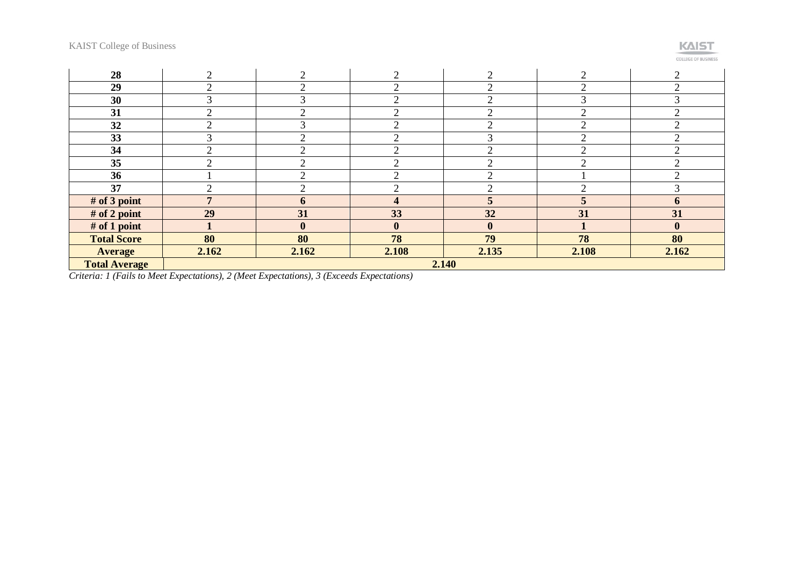## KAIST

| <b>COLLEGE OF BUSINESS</b> |  |  |  |  |
|----------------------------|--|--|--|--|

| 28                   | ◠      | $\overline{2}$ | ◠            | ◠         | $\overline{2}$              |              |
|----------------------|--------|----------------|--------------|-----------|-----------------------------|--------------|
| 29                   | ⌒      | $\overline{2}$ |              | $\sim$    | $\bigcap$                   |              |
| 30                   | 3      | $\mathcal{R}$  |              | $\bigcap$ | 3                           |              |
| 31                   | ⌒      | $\overline{2}$ | ◠            | $\Omega$  | $\overline{2}$              | ⌒            |
| 32                   | ◠      | 3              | ⌒            | $\Omega$  | $\mathcal{D}_{\mathcal{L}}$ | ⌒            |
| 33                   | $\sim$ | $\overline{2}$ |              | 3         | $\overline{2}$              |              |
| 34                   | ◠      | $\bigcirc$     |              | $\bigcap$ | ◠                           |              |
| 35                   | ⌒      | ◠              |              | ⌒         | $\sim$                      |              |
| 36                   |        | ◠              |              | ⌒         |                             |              |
| 37                   | ◠      | $\overline{2}$ |              | ◠         | $\mathcal{D}_{\mathcal{L}}$ |              |
| # of 3 point         | 7      | 6              | 4            | 5         |                             | 6            |
| $#$ of 2 point       | 29     | 31             | 33           | 32        | 31                          | 31           |
| # of 1 point         |        | $\mathbf{0}$   | $\mathbf{0}$ | $\bf{0}$  |                             | $\mathbf{0}$ |
| <b>Total Score</b>   | 80     | 80             | 78           | 79        | 78                          | 80           |
| <b>Average</b>       | 2.162  | 2.162          | 2.108        | 2.135     | 2.108                       | 2.162        |
| <b>Total Average</b> |        |                |              | 2.140     |                             |              |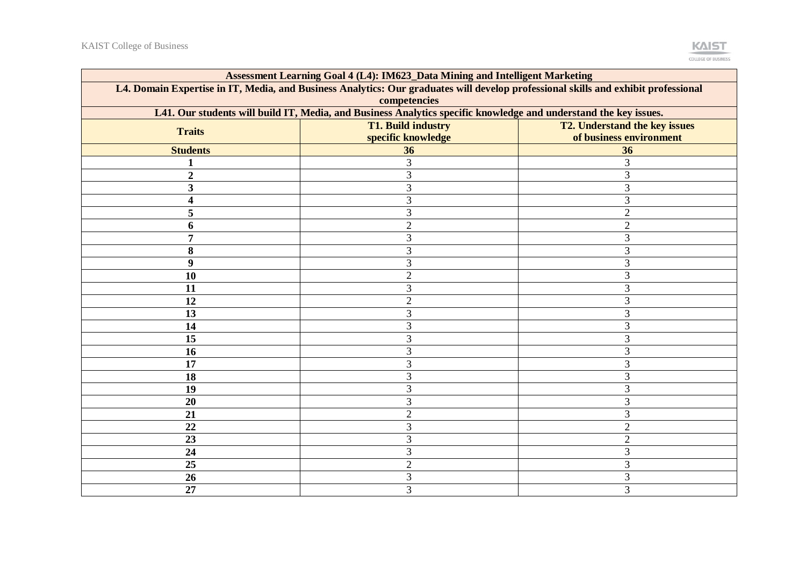

| Assessment Learning Goal 4 (L4): IM623_Data Mining and Intelligent Marketing                                                       |                    |                               |  |  |  |  |  |
|------------------------------------------------------------------------------------------------------------------------------------|--------------------|-------------------------------|--|--|--|--|--|
| L4. Domain Expertise in IT, Media, and Business Analytics: Our graduates will develop professional skills and exhibit professional |                    |                               |  |  |  |  |  |
| competencies                                                                                                                       |                    |                               |  |  |  |  |  |
| L41. Our students will build IT, Media, and Business Analytics specific knowledge and understand the key issues.                   |                    |                               |  |  |  |  |  |
| <b>Traits</b>                                                                                                                      | T1. Build industry | T2. Understand the key issues |  |  |  |  |  |
|                                                                                                                                    | specific knowledge | of business environment       |  |  |  |  |  |
| <b>Students</b>                                                                                                                    | 36                 | 36                            |  |  |  |  |  |
| 1                                                                                                                                  | 3                  | 3                             |  |  |  |  |  |
| $\overline{2}$                                                                                                                     | 3                  | 3                             |  |  |  |  |  |
| 3                                                                                                                                  | 3                  | 3                             |  |  |  |  |  |
| $\overline{\mathbf{4}}$                                                                                                            | 3                  | 3                             |  |  |  |  |  |
| 5                                                                                                                                  | 3                  | $\overline{2}$                |  |  |  |  |  |
| 6                                                                                                                                  | $\overline{2}$     | $\overline{2}$                |  |  |  |  |  |
| 7                                                                                                                                  | 3                  | 3                             |  |  |  |  |  |
| 8                                                                                                                                  | 3                  | 3                             |  |  |  |  |  |
| 9                                                                                                                                  | 3                  | 3                             |  |  |  |  |  |
| 10                                                                                                                                 | $\overline{2}$     | 3                             |  |  |  |  |  |
| 11                                                                                                                                 | 3                  | 3                             |  |  |  |  |  |
| 12                                                                                                                                 | $\overline{2}$     | 3                             |  |  |  |  |  |
| 13                                                                                                                                 | 3                  | 3                             |  |  |  |  |  |
| 14                                                                                                                                 | 3                  | 3                             |  |  |  |  |  |
| 15                                                                                                                                 | 3                  | 3                             |  |  |  |  |  |
| 16                                                                                                                                 | 3                  | 3                             |  |  |  |  |  |
| 17                                                                                                                                 | 3                  | 3                             |  |  |  |  |  |
| 18                                                                                                                                 | 3                  | 3                             |  |  |  |  |  |
| 19                                                                                                                                 | 3                  | 3                             |  |  |  |  |  |
| 20                                                                                                                                 | 3                  | 3                             |  |  |  |  |  |
| 21                                                                                                                                 | $\overline{2}$     | 3                             |  |  |  |  |  |
| 22                                                                                                                                 | $\overline{3}$     | $\mathbf{2}$                  |  |  |  |  |  |
| 23                                                                                                                                 | 3                  | $\sqrt{2}$                    |  |  |  |  |  |
| 24                                                                                                                                 | 3                  | 3                             |  |  |  |  |  |
| 25                                                                                                                                 | $\overline{2}$     | 3                             |  |  |  |  |  |
| 26                                                                                                                                 | 3                  | 3                             |  |  |  |  |  |
| 27                                                                                                                                 | $\overline{3}$     | 3                             |  |  |  |  |  |
|                                                                                                                                    |                    |                               |  |  |  |  |  |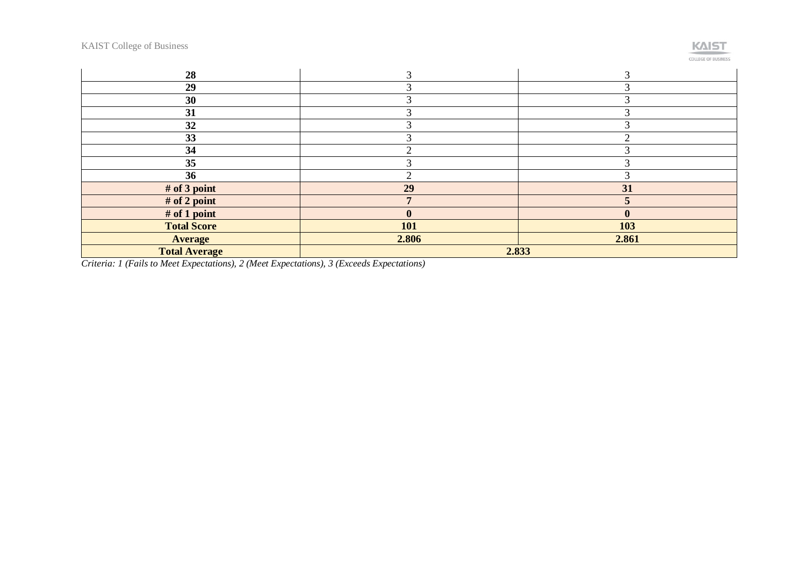# **KAIST**

**COLLEGE OF BUSINESS** 

| 28                   |                  |                  |  |  |  |
|----------------------|------------------|------------------|--|--|--|
| 29                   |                  |                  |  |  |  |
| 30                   |                  |                  |  |  |  |
| 31                   |                  |                  |  |  |  |
| 32                   |                  |                  |  |  |  |
| 33                   |                  |                  |  |  |  |
| 34                   |                  |                  |  |  |  |
| 35                   |                  |                  |  |  |  |
| 36                   |                  |                  |  |  |  |
| # of 3 point         | 29               | 31               |  |  |  |
| # of 2 point         |                  |                  |  |  |  |
| $#$ of 1 point       | $\boldsymbol{0}$ | $\boldsymbol{0}$ |  |  |  |
| <b>Total Score</b>   | 101              | 103              |  |  |  |
| <b>Average</b>       | 2.806            | 2.861            |  |  |  |
| <b>Total Average</b> | 2.833            |                  |  |  |  |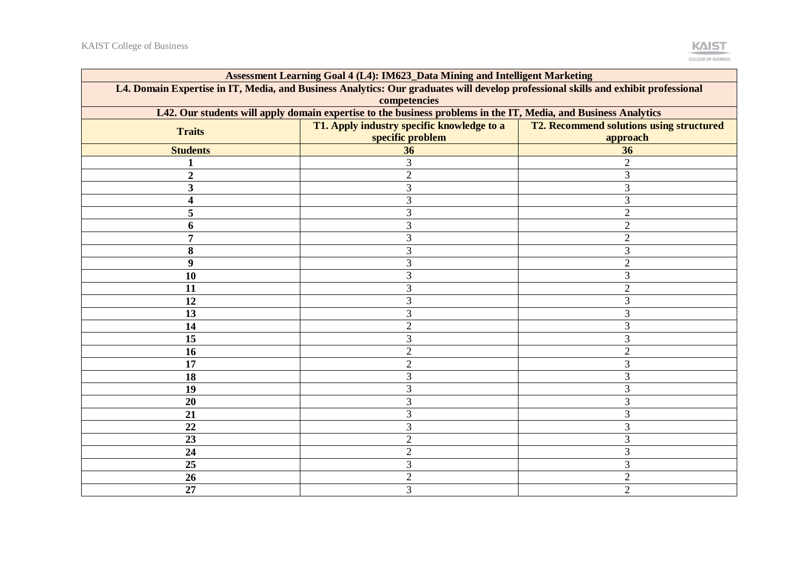

| Assessment Learning Goal 4 (L4): IM623_Data Mining and Intelligent Marketing                                                       |                                            |                                                 |  |  |  |  |  |
|------------------------------------------------------------------------------------------------------------------------------------|--------------------------------------------|-------------------------------------------------|--|--|--|--|--|
| L4. Domain Expertise in IT, Media, and Business Analytics: Our graduates will develop professional skills and exhibit professional |                                            |                                                 |  |  |  |  |  |
| competencies                                                                                                                       |                                            |                                                 |  |  |  |  |  |
| L42. Our students will apply domain expertise to the business problems in the IT, Media, and Business Analytics                    |                                            |                                                 |  |  |  |  |  |
| <b>Traits</b>                                                                                                                      | T1. Apply industry specific knowledge to a | <b>T2. Recommend solutions using structured</b> |  |  |  |  |  |
|                                                                                                                                    | specific problem                           | approach                                        |  |  |  |  |  |
| <b>Students</b>                                                                                                                    | 36                                         | 36                                              |  |  |  |  |  |
|                                                                                                                                    | 3                                          | $\overline{c}$                                  |  |  |  |  |  |
| $\overline{2}$                                                                                                                     | $\overline{2}$                             | 3                                               |  |  |  |  |  |
| 3                                                                                                                                  | 3                                          | 3                                               |  |  |  |  |  |
| 4                                                                                                                                  | 3                                          | 3                                               |  |  |  |  |  |
| 5                                                                                                                                  | 3                                          | $\mathbf{2}$                                    |  |  |  |  |  |
| 6                                                                                                                                  | 3                                          | $\mathbf{2}$                                    |  |  |  |  |  |
| 7                                                                                                                                  | 3                                          | $\overline{2}$                                  |  |  |  |  |  |
| 8                                                                                                                                  | 3                                          | 3                                               |  |  |  |  |  |
| 9                                                                                                                                  | 3                                          | $\overline{2}$                                  |  |  |  |  |  |
| 10                                                                                                                                 | 3                                          | 3                                               |  |  |  |  |  |
| 11                                                                                                                                 | 3                                          | $\mathbf{2}$                                    |  |  |  |  |  |
| 12                                                                                                                                 | 3                                          | 3                                               |  |  |  |  |  |
| 13                                                                                                                                 | 3                                          | 3                                               |  |  |  |  |  |
| 14                                                                                                                                 | $\overline{2}$                             | 3                                               |  |  |  |  |  |
| 15                                                                                                                                 | 3                                          | 3                                               |  |  |  |  |  |
| 16                                                                                                                                 | $\overline{2}$                             | $\overline{2}$                                  |  |  |  |  |  |
| 17                                                                                                                                 | $\overline{2}$                             | 3                                               |  |  |  |  |  |
| 18                                                                                                                                 | 3                                          | 3                                               |  |  |  |  |  |
| 19                                                                                                                                 | 3                                          | 3                                               |  |  |  |  |  |
| 20                                                                                                                                 | 3                                          | 3                                               |  |  |  |  |  |
| 21                                                                                                                                 | 3                                          | 3                                               |  |  |  |  |  |
| 22                                                                                                                                 | 3                                          | 3                                               |  |  |  |  |  |
| 23                                                                                                                                 | $\overline{2}$                             | 3                                               |  |  |  |  |  |
| 24                                                                                                                                 | $\overline{2}$                             | 3                                               |  |  |  |  |  |
| 25                                                                                                                                 | 3                                          | 3                                               |  |  |  |  |  |
| 26                                                                                                                                 | $\overline{2}$                             | $\overline{2}$                                  |  |  |  |  |  |
| 27                                                                                                                                 | 3                                          | $\overline{2}$                                  |  |  |  |  |  |
|                                                                                                                                    |                                            |                                                 |  |  |  |  |  |